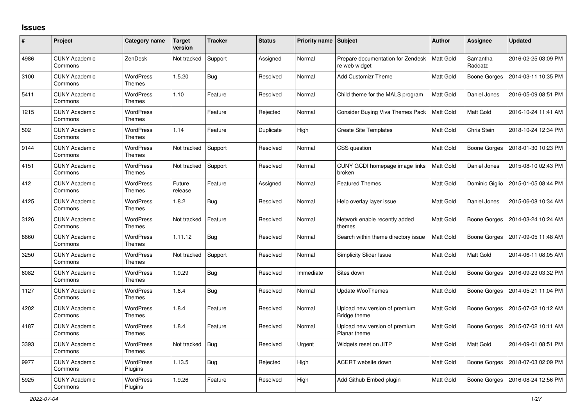## **Issues**

| #    | Project                         | <b>Category name</b>              | <b>Target</b><br>version | <b>Tracker</b> | <b>Status</b> | <b>Priority name</b> | Subject                                            | <b>Author</b>    | Assignee            | <b>Updated</b>      |
|------|---------------------------------|-----------------------------------|--------------------------|----------------|---------------|----------------------|----------------------------------------------------|------------------|---------------------|---------------------|
| 4986 | <b>CUNY Academic</b><br>Commons | ZenDesk                           | Not tracked              | Support        | Assigned      | Normal               | Prepare documentation for Zendesk<br>re web widget | Matt Gold        | Samantha<br>Raddatz | 2016-02-25 03:09 PM |
| 3100 | <b>CUNY Academic</b><br>Commons | <b>WordPress</b><br>Themes        | 1.5.20                   | <b>Bug</b>     | Resolved      | Normal               | <b>Add Customizr Theme</b>                         | Matt Gold        | Boone Gorges        | 2014-03-11 10:35 PM |
| 5411 | <b>CUNY Academic</b><br>Commons | <b>WordPress</b><br>Themes        | 1.10                     | Feature        | Resolved      | Normal               | Child theme for the MALS program                   | Matt Gold        | Daniel Jones        | 2016-05-09 08:51 PM |
| 1215 | <b>CUNY Academic</b><br>Commons | <b>WordPress</b><br><b>Themes</b> |                          | Feature        | Rejected      | Normal               | Consider Buying Viva Themes Pack                   | Matt Gold        | Matt Gold           | 2016-10-24 11:41 AM |
| 502  | <b>CUNY Academic</b><br>Commons | <b>WordPress</b><br><b>Themes</b> | 1.14                     | Feature        | Duplicate     | High                 | <b>Create Site Templates</b>                       | Matt Gold        | Chris Stein         | 2018-10-24 12:34 PM |
| 9144 | <b>CUNY Academic</b><br>Commons | <b>WordPress</b><br>Themes        | Not tracked              | Support        | Resolved      | Normal               | CSS question                                       | Matt Gold        | Boone Gorges        | 2018-01-30 10:23 PM |
| 4151 | <b>CUNY Academic</b><br>Commons | <b>WordPress</b><br><b>Themes</b> | Not tracked              | Support        | Resolved      | Normal               | CUNY GCDI homepage image links<br>broken           | Matt Gold        | Daniel Jones        | 2015-08-10 02:43 PM |
| 412  | <b>CUNY Academic</b><br>Commons | <b>WordPress</b><br><b>Themes</b> | Future<br>release        | Feature        | Assigned      | Normal               | <b>Featured Themes</b>                             | Matt Gold        | Dominic Giglio      | 2015-01-05 08:44 PM |
| 4125 | <b>CUNY Academic</b><br>Commons | <b>WordPress</b><br><b>Themes</b> | 1.8.2                    | <b>Bug</b>     | Resolved      | Normal               | Help overlay layer issue                           | <b>Matt Gold</b> | Daniel Jones        | 2015-06-08 10:34 AM |
| 3126 | <b>CUNY Academic</b><br>Commons | <b>WordPress</b><br><b>Themes</b> | Not tracked              | Feature        | Resolved      | Normal               | Network enable recently added<br>themes            | Matt Gold        | Boone Gorges        | 2014-03-24 10:24 AM |
| 8660 | <b>CUNY Academic</b><br>Commons | <b>WordPress</b><br>Themes        | 1.11.12                  | <b>Bug</b>     | Resolved      | Normal               | Search within theme directory issue                | Matt Gold        | Boone Gorges        | 2017-09-05 11:48 AM |
| 3250 | <b>CUNY Academic</b><br>Commons | <b>WordPress</b><br><b>Themes</b> | Not tracked              | Support        | Resolved      | Normal               | <b>Simplicity Slider Issue</b>                     | Matt Gold        | Matt Gold           | 2014-06-11 08:05 AM |
| 6082 | <b>CUNY Academic</b><br>Commons | <b>WordPress</b><br>Themes        | 1.9.29                   | <b>Bug</b>     | Resolved      | Immediate            | Sites down                                         | Matt Gold        | Boone Gorges        | 2016-09-23 03:32 PM |
| 1127 | <b>CUNY Academic</b><br>Commons | <b>WordPress</b><br><b>Themes</b> | 1.6.4                    | <b>Bug</b>     | Resolved      | Normal               | <b>Update WooThemes</b>                            | Matt Gold        | Boone Gorges        | 2014-05-21 11:04 PM |
| 4202 | <b>CUNY Academic</b><br>Commons | <b>WordPress</b><br>Themes        | 1.8.4                    | Feature        | Resolved      | Normal               | Upload new version of premium<br>Bridge theme      | Matt Gold        | Boone Gorges        | 2015-07-02 10:12 AM |
| 4187 | <b>CUNY Academic</b><br>Commons | <b>WordPress</b><br><b>Themes</b> | 1.8.4                    | Feature        | Resolved      | Normal               | Upload new version of premium<br>Planar theme      | Matt Gold        | Boone Gorges        | 2015-07-02 10:11 AM |
| 3393 | <b>CUNY Academic</b><br>Commons | WordPress<br>Themes               | Not tracked              | <b>Bug</b>     | Resolved      | Urgent               | Widgets reset on JITP                              | Matt Gold        | Matt Gold           | 2014-09-01 08:51 PM |
| 9977 | <b>CUNY Academic</b><br>Commons | <b>WordPress</b><br>Plugins       | 1.13.5                   | Bug            | Rejected      | High                 | ACERT website down                                 | Matt Gold        | Boone Gorges        | 2018-07-03 02:09 PM |
| 5925 | CUNY Academic<br>Commons        | <b>WordPress</b><br>Plugins       | 1.9.26                   | Feature        | Resolved      | High                 | Add Github Embed plugin                            | Matt Gold        | Boone Gorges        | 2016-08-24 12:56 PM |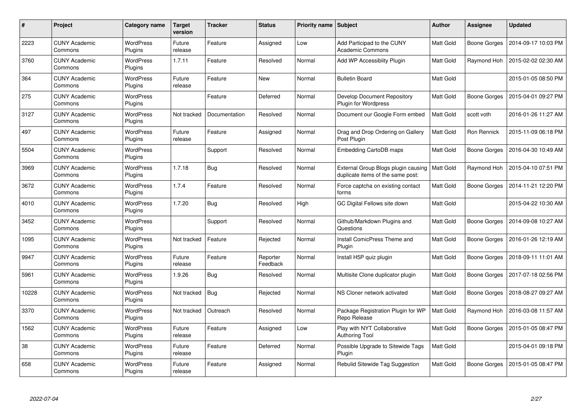| #     | <b>Project</b>                  | Category name               | <b>Target</b><br>version | <b>Tracker</b> | <b>Status</b>        | <b>Priority name   Subject</b> |                                                                          | <b>Author</b> | Assignee     | <b>Updated</b>      |
|-------|---------------------------------|-----------------------------|--------------------------|----------------|----------------------|--------------------------------|--------------------------------------------------------------------------|---------------|--------------|---------------------|
| 2223  | <b>CUNY Academic</b><br>Commons | <b>WordPress</b><br>Plugins | Future<br>release        | Feature        | Assigned             | Low                            | Add Participad to the CUNY<br><b>Academic Commons</b>                    | Matt Gold     | Boone Gorges | 2014-09-17 10:03 PM |
| 3760  | <b>CUNY Academic</b><br>Commons | <b>WordPress</b><br>Plugins | 1.7.11                   | Feature        | Resolved             | Normal                         | Add WP Accessiblity Plugin                                               | Matt Gold     | Raymond Hoh  | 2015-02-02 02:30 AM |
| 364   | <b>CUNY Academic</b><br>Commons | <b>WordPress</b><br>Plugins | Future<br>release        | Feature        | New                  | Normal                         | <b>Bulletin Board</b>                                                    | Matt Gold     |              | 2015-01-05 08:50 PM |
| 275   | <b>CUNY Academic</b><br>Commons | <b>WordPress</b><br>Plugins |                          | Feature        | Deferred             | Normal                         | Develop Document Repository<br><b>Plugin for Wordpress</b>               | Matt Gold     | Boone Gorges | 2015-04-01 09:27 PM |
| 3127  | <b>CUNY Academic</b><br>Commons | <b>WordPress</b><br>Plugins | Not tracked              | Documentation  | Resolved             | Normal                         | Document our Google Form embed                                           | Matt Gold     | scott voth   | 2016-01-26 11:27 AM |
| 497   | <b>CUNY Academic</b><br>Commons | <b>WordPress</b><br>Plugins | Future<br>release        | Feature        | Assigned             | Normal                         | Drag and Drop Ordering on Gallery<br>Post Plugin                         | Matt Gold     | Ron Rennick  | 2015-11-09 06:18 PM |
| 5504  | <b>CUNY Academic</b><br>Commons | <b>WordPress</b><br>Plugins |                          | Support        | Resolved             | Normal                         | Embedding CartoDB maps                                                   | Matt Gold     | Boone Gorges | 2016-04-30 10:49 AM |
| 3969  | <b>CUNY Academic</b><br>Commons | WordPress<br>Plugins        | 1.7.18                   | Bug            | Resolved             | Normal                         | External Group Blogs plugin causing<br>duplicate items of the same post: | Matt Gold     | Raymond Hoh  | 2015-04-10 07:51 PM |
| 3672  | <b>CUNY Academic</b><br>Commons | WordPress<br>Plugins        | 1.7.4                    | Feature        | Resolved             | Normal                         | Force captcha on existing contact<br>forms                               | Matt Gold     | Boone Gorges | 2014-11-21 12:20 PM |
| 4010  | <b>CUNY Academic</b><br>Commons | <b>WordPress</b><br>Plugins | 1.7.20                   | <b>Bug</b>     | Resolved             | High                           | GC Digital Fellows site down                                             | Matt Gold     |              | 2015-04-22 10:30 AM |
| 3452  | <b>CUNY Academic</b><br>Commons | <b>WordPress</b><br>Plugins |                          | Support        | Resolved             | Normal                         | Github/Markdown Plugins and<br>Questions                                 | Matt Gold     | Boone Gorges | 2014-09-08 10:27 AM |
| 1095  | <b>CUNY Academic</b><br>Commons | <b>WordPress</b><br>Plugins | Not tracked              | Feature        | Rejected             | Normal                         | Install ComicPress Theme and<br>Plugin                                   | Matt Gold     | Boone Gorges | 2016-01-26 12:19 AM |
| 9947  | <b>CUNY Academic</b><br>Commons | <b>WordPress</b><br>Plugins | Future<br>release        | Feature        | Reporter<br>Feedback | Normal                         | Install H5P quiz plugin                                                  | Matt Gold     | Boone Gorges | 2018-09-11 11:01 AM |
| 5961  | <b>CUNY Academic</b><br>Commons | <b>WordPress</b><br>Plugins | 1.9.26                   | Bug            | Resolved             | Normal                         | Multisite Clone duplicator plugin                                        | Matt Gold     | Boone Gorges | 2017-07-18 02:56 PM |
| 10228 | <b>CUNY Academic</b><br>Commons | WordPress<br>Plugins        | Not tracked              | <b>Bug</b>     | Rejected             | Normal                         | NS Cloner network activated                                              | Matt Gold     | Boone Gorges | 2018-08-27 09:27 AM |
| 3370  | <b>CUNY Academic</b><br>Commons | <b>WordPress</b><br>Plugins | Not tracked              | Outreach       | Resolved             | Normal                         | Package Registration Plugin for WP<br>Repo Release                       | Matt Gold     | Raymond Hoh  | 2016-03-08 11:57 AM |
| 1562  | <b>CUNY Academic</b><br>Commons | WordPress<br>Plugins        | Future<br>release        | Feature        | Assigned             | Low                            | Play with NYT Collaborative<br><b>Authoring Tool</b>                     | Matt Gold     | Boone Gorges | 2015-01-05 08:47 PM |
| 38    | <b>CUNY Academic</b><br>Commons | <b>WordPress</b><br>Plugins | Future<br>release        | Feature        | Deferred             | Normal                         | Possible Upgrade to Sitewide Tags<br>Plugin                              | Matt Gold     |              | 2015-04-01 09:18 PM |
| 658   | <b>CUNY Academic</b><br>Commons | <b>WordPress</b><br>Plugins | Future<br>release        | Feature        | Assigned             | Normal                         | Rebulid Sitewide Tag Suggestion                                          | Matt Gold     | Boone Gorges | 2015-01-05 08:47 PM |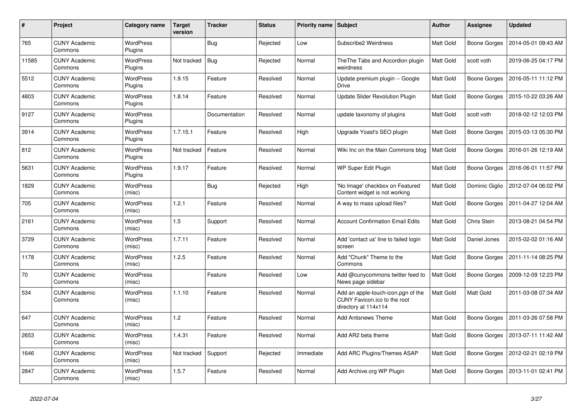| #     | <b>Project</b>                  | Category name               | <b>Target</b><br>version | <b>Tracker</b> | <b>Status</b> | Priority name Subject |                                                                                            | Author           | Assignee            | <b>Updated</b>      |
|-------|---------------------------------|-----------------------------|--------------------------|----------------|---------------|-----------------------|--------------------------------------------------------------------------------------------|------------------|---------------------|---------------------|
| 765   | <b>CUNY Academic</b><br>Commons | <b>WordPress</b><br>Plugins |                          | <b>Bug</b>     | Rejected      | Low                   | Subscribe2 Weirdness                                                                       | <b>Matt Gold</b> | Boone Gorges        | 2014-05-01 09:43 AM |
| 11585 | <b>CUNY Academic</b><br>Commons | <b>WordPress</b><br>Plugins | Not tracked              | <b>Bug</b>     | Rejected      | Normal                | The The Tabs and Accordion plugin<br>weirdness                                             | Matt Gold        | scott voth          | 2019-06-25 04:17 PM |
| 5512  | <b>CUNY Academic</b><br>Commons | <b>WordPress</b><br>Plugins | 1.9.15                   | Feature        | Resolved      | Normal                | Update premium plugin -- Google<br>Drive                                                   | Matt Gold        | Boone Gorges        | 2016-05-11 11:12 PM |
| 4803  | <b>CUNY Academic</b><br>Commons | WordPress<br>Plugins        | 1.8.14                   | Feature        | Resolved      | Normal                | <b>Update Slider Revolution Plugin</b>                                                     | Matt Gold        | <b>Boone Gorges</b> | 2015-10-22 03:26 AM |
| 9127  | <b>CUNY Academic</b><br>Commons | <b>WordPress</b><br>Plugins |                          | Documentation  | Resolved      | Normal                | update taxonomy of plugins                                                                 | Matt Gold        | scott voth          | 2018-02-12 12:03 PM |
| 3914  | <b>CUNY Academic</b><br>Commons | WordPress<br>Plugins        | 1.7.15.1                 | Feature        | Resolved      | High                  | Upgrade Yoast's SEO plugin                                                                 | Matt Gold        | Boone Gorges        | 2015-03-13 05:30 PM |
| 812   | <b>CUNY Academic</b><br>Commons | WordPress<br>Plugins        | Not tracked              | Feature        | Resolved      | Normal                | Wiki Inc on the Main Commons blog                                                          | Matt Gold        | Boone Gorges        | 2016-01-26 12:19 AM |
| 5631  | <b>CUNY Academic</b><br>Commons | WordPress<br>Plugins        | 1.9.17                   | Feature        | Resolved      | Normal                | WP Super Edit Plugin                                                                       | <b>Matt Gold</b> | Boone Gorges        | 2016-06-01 11:57 PM |
| 1829  | <b>CUNY Academic</b><br>Commons | WordPress<br>(misc)         |                          | <b>Bug</b>     | Rejected      | High                  | 'No Image' checkbox on Featured<br>Content widget is not working                           | Matt Gold        | Dominic Giglio      | 2012-07-04 06:02 PM |
| 705   | <b>CUNY Academic</b><br>Commons | WordPress<br>(misc)         | 1.2.1                    | Feature        | Resolved      | Normal                | A way to mass upload files?                                                                | Matt Gold        | Boone Gorges        | 2011-04-27 12:04 AM |
| 2161  | <b>CUNY Academic</b><br>Commons | WordPress<br>(misc)         | 1.5                      | Support        | Resolved      | Normal                | <b>Account Confirmation Email Edits</b>                                                    | Matt Gold        | Chris Stein         | 2013-08-21 04:54 PM |
| 3729  | <b>CUNY Academic</b><br>Commons | WordPress<br>(misc)         | 1.7.11                   | Feature        | Resolved      | Normal                | Add 'contact us' line to failed login<br>screen                                            | Matt Gold        | Daniel Jones        | 2015-02-02 01:16 AM |
| 1178  | <b>CUNY Academic</b><br>Commons | <b>WordPress</b><br>(misc)  | 1.2.5                    | Feature        | Resolved      | Normal                | Add "Chunk" Theme to the<br>Commons                                                        | Matt Gold        | Boone Gorges        | 2011-11-14 08:25 PM |
| 70    | <b>CUNY Academic</b><br>Commons | WordPress<br>(misc)         |                          | Feature        | Resolved      | Low                   | Add @cunycommons twitter feed to<br>News page sidebar                                      | Matt Gold        | Boone Gorges        | 2009-12-09 12:23 PM |
| 534   | <b>CUNY Academic</b><br>Commons | <b>WordPress</b><br>(misc)  | 1.1.10                   | Feature        | Resolved      | Normal                | Add an apple-touch-icon.pgn of the<br>CUNY Favicon.ico to the root<br>directory at 114x114 | Matt Gold        | Matt Gold           | 2011-03-08 07:34 AM |
| 647   | <b>CUNY Academic</b><br>Commons | WordPress<br>(misc)         | 1.2                      | Feature        | Resolved      | Normal                | <b>Add Antisnews Theme</b>                                                                 | <b>Matt Gold</b> | Boone Gorges        | 2011-03-26 07:58 PM |
| 2653  | <b>CUNY Academic</b><br>Commons | WordPress<br>(misc)         | 1.4.31                   | Feature        | Resolved      | Normal                | Add AR2 beta theme                                                                         | Matt Gold        | Boone Gorges        | 2013-07-11 11:42 AM |
| 1646  | <b>CUNY Academic</b><br>Commons | WordPress<br>(misc)         | Not tracked              | Support        | Rejected      | Immediate             | Add ARC Plugins/Themes ASAP                                                                | Matt Gold        | Boone Gorges        | 2012-02-21 02:19 PM |
| 2847  | <b>CUNY Academic</b><br>Commons | <b>WordPress</b><br>(misc)  | 1.5.7                    | Feature        | Resolved      | Normal                | Add Archive.org WP Plugin                                                                  | Matt Gold        | Boone Gorges        | 2013-11-01 02:41 PM |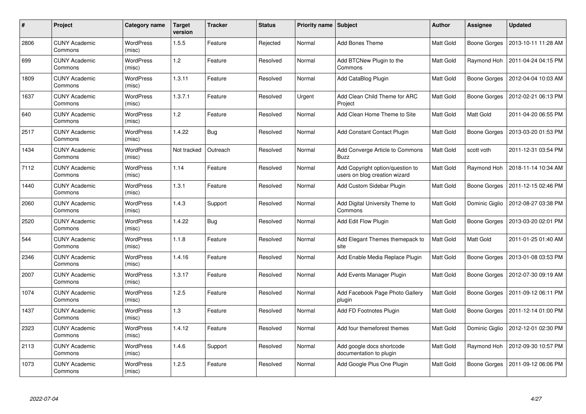| #    | Project                         | Category name              | <b>Target</b><br>version | <b>Tracker</b> | <b>Status</b> | <b>Priority name   Subject</b> |                                                                   | <b>Author</b> | Assignee         | <b>Updated</b>      |
|------|---------------------------------|----------------------------|--------------------------|----------------|---------------|--------------------------------|-------------------------------------------------------------------|---------------|------------------|---------------------|
| 2806 | <b>CUNY Academic</b><br>Commons | <b>WordPress</b><br>(misc) | 1.5.5                    | Feature        | Rejected      | Normal                         | <b>Add Bones Theme</b>                                            | Matt Gold     | Boone Gorges     | 2013-10-11 11:28 AM |
| 699  | <b>CUNY Academic</b><br>Commons | <b>WordPress</b><br>(misc) | $1.2$                    | Feature        | Resolved      | Normal                         | Add BTCNew Plugin to the<br>Commons                               | Matt Gold     | Raymond Hoh      | 2011-04-24 04:15 PM |
| 1809 | <b>CUNY Academic</b><br>Commons | <b>WordPress</b><br>(misc) | 1.3.11                   | Feature        | Resolved      | Normal                         | Add CataBlog Plugin                                               | Matt Gold     | Boone Gorges     | 2012-04-04 10:03 AM |
| 1637 | <b>CUNY Academic</b><br>Commons | WordPress<br>(misc)        | 1.3.7.1                  | Feature        | Resolved      | Urgent                         | Add Clean Child Theme for ARC<br>Project                          | Matt Gold     | Boone Gorges     | 2012-02-21 06:13 PM |
| 640  | <b>CUNY Academic</b><br>Commons | <b>WordPress</b><br>(misc) | 1.2                      | Feature        | Resolved      | Normal                         | Add Clean Home Theme to Site                                      | Matt Gold     | <b>Matt Gold</b> | 2011-04-20 06:55 PM |
| 2517 | <b>CUNY Academic</b><br>Commons | <b>WordPress</b><br>(misc) | 1.4.22                   | <b>Bug</b>     | Resolved      | Normal                         | Add Constant Contact Plugin                                       | Matt Gold     | Boone Gorges     | 2013-03-20 01:53 PM |
| 1434 | <b>CUNY Academic</b><br>Commons | <b>WordPress</b><br>(misc) | Not tracked              | Outreach       | Resolved      | Normal                         | Add Converge Article to Commons<br><b>Buzz</b>                    | Matt Gold     | scott voth       | 2011-12-31 03:54 PM |
| 7112 | <b>CUNY Academic</b><br>Commons | WordPress<br>(misc)        | 1.14                     | Feature        | Resolved      | Normal                         | Add Copyright option/question to<br>users on blog creation wizard | Matt Gold     | Raymond Hoh      | 2018-11-14 10:34 AM |
| 1440 | <b>CUNY Academic</b><br>Commons | <b>WordPress</b><br>(misc) | 1.3.1                    | Feature        | Resolved      | Normal                         | Add Custom Sidebar Plugin                                         | Matt Gold     | Boone Gorges     | 2011-12-15 02:46 PM |
| 2060 | <b>CUNY Academic</b><br>Commons | <b>WordPress</b><br>(misc) | 1.4.3                    | Support        | Resolved      | Normal                         | Add Digital University Theme to<br>Commons                        | Matt Gold     | Dominic Giglio   | 2012-08-27 03:38 PM |
| 2520 | <b>CUNY Academic</b><br>Commons | WordPress<br>(misc)        | 1.4.22                   | Bug            | Resolved      | Normal                         | Add Edit Flow Plugin                                              | Matt Gold     | Boone Gorges     | 2013-03-20 02:01 PM |
| 544  | <b>CUNY Academic</b><br>Commons | WordPress<br>(misc)        | 1.1.8                    | Feature        | Resolved      | Normal                         | Add Elegant Themes themepack to<br>site                           | Matt Gold     | Matt Gold        | 2011-01-25 01:40 AM |
| 2346 | <b>CUNY Academic</b><br>Commons | <b>WordPress</b><br>(misc) | 1.4.16                   | Feature        | Resolved      | Normal                         | Add Enable Media Replace Plugin                                   | Matt Gold     | Boone Gorges     | 2013-01-08 03:53 PM |
| 2007 | <b>CUNY Academic</b><br>Commons | WordPress<br>(misc)        | 1.3.17                   | Feature        | Resolved      | Normal                         | Add Events Manager Plugin                                         | Matt Gold     | Boone Gorges     | 2012-07-30 09:19 AM |
| 1074 | <b>CUNY Academic</b><br>Commons | <b>WordPress</b><br>(misc) | 1.2.5                    | Feature        | Resolved      | Normal                         | Add Facebook Page Photo Gallery<br>plugin                         | Matt Gold     | Boone Gorges     | 2011-09-12 06:11 PM |
| 1437 | <b>CUNY Academic</b><br>Commons | WordPress<br>(misc)        | 1.3                      | Feature        | Resolved      | Normal                         | Add FD Footnotes Plugin                                           | Matt Gold     | Boone Gorges     | 2011-12-14 01:00 PM |
| 2323 | <b>CUNY Academic</b><br>Commons | WordPress<br>(misc)        | 1.4.12                   | Feature        | Resolved      | Normal                         | Add four themeforest themes                                       | Matt Gold     | Dominic Giglio   | 2012-12-01 02:30 PM |
| 2113 | <b>CUNY Academic</b><br>Commons | WordPress<br>(misc)        | 1.4.6                    | Support        | Resolved      | Normal                         | Add google docs shortcode<br>documentation to plugin              | Matt Gold     | Raymond Hoh      | 2012-09-30 10:57 PM |
| 1073 | CUNY Academic<br>Commons        | <b>WordPress</b><br>(misc) | 1.2.5                    | Feature        | Resolved      | Normal                         | Add Google Plus One Plugin                                        | Matt Gold     | Boone Gorges     | 2011-09-12 06:06 PM |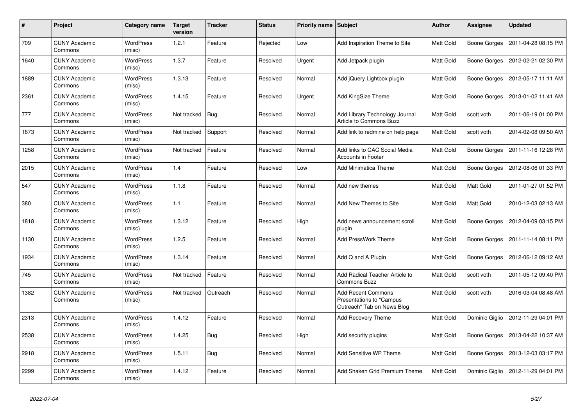| #    | Project                         | <b>Category name</b>       | <b>Target</b><br>version | <b>Tracker</b> | <b>Status</b> | Priority name Subject |                                                                                     | <b>Author</b>    | <b>Assignee</b>     | <b>Updated</b>      |
|------|---------------------------------|----------------------------|--------------------------|----------------|---------------|-----------------------|-------------------------------------------------------------------------------------|------------------|---------------------|---------------------|
| 709  | <b>CUNY Academic</b><br>Commons | <b>WordPress</b><br>(misc) | 1.2.1                    | Feature        | Rejected      | Low                   | Add Inspiration Theme to Site                                                       | Matt Gold        | Boone Gorges        | 2011-04-28 08:15 PM |
| 1640 | <b>CUNY Academic</b><br>Commons | <b>WordPress</b><br>(misc) | 1.3.7                    | Feature        | Resolved      | Urgent                | Add Jetpack plugin                                                                  | Matt Gold        | Boone Gorges        | 2012-02-21 02:30 PM |
| 1889 | <b>CUNY Academic</b><br>Commons | <b>WordPress</b><br>(misc) | 1.3.13                   | Feature        | Resolved      | Normal                | Add jQuery Lightbox plugin                                                          | Matt Gold        | <b>Boone Gorges</b> | 2012-05-17 11:11 AM |
| 2361 | <b>CUNY Academic</b><br>Commons | WordPress<br>(misc)        | 1.4.15                   | Feature        | Resolved      | Urgent                | Add KingSize Theme                                                                  | Matt Gold        | Boone Gorges        | 2013-01-02 11:41 AM |
| 777  | <b>CUNY Academic</b><br>Commons | WordPress<br>(misc)        | Not tracked              | Bug            | Resolved      | Normal                | Add Library Technology Journal<br>Article to Commons Buzz                           | Matt Gold        | scott voth          | 2011-06-19 01:00 PM |
| 1673 | <b>CUNY Academic</b><br>Commons | <b>WordPress</b><br>(misc) | Not tracked              | Support        | Resolved      | Normal                | Add link to redmine on help page                                                    | Matt Gold        | scott voth          | 2014-02-08 09:50 AM |
| 1258 | <b>CUNY Academic</b><br>Commons | WordPress<br>(misc)        | Not tracked              | Feature        | Resolved      | Normal                | Add links to CAC Social Media<br><b>Accounts in Footer</b>                          | Matt Gold        | Boone Gorges        | 2011-11-16 12:28 PM |
| 2015 | <b>CUNY Academic</b><br>Commons | WordPress<br>(misc)        | 1.4                      | Feature        | Resolved      | Low                   | Add Minimatica Theme                                                                | <b>Matt Gold</b> | Boone Gorges        | 2012-08-06 01:33 PM |
| 547  | <b>CUNY Academic</b><br>Commons | <b>WordPress</b><br>(misc) | 1.1.8                    | Feature        | Resolved      | Normal                | Add new themes                                                                      | Matt Gold        | Matt Gold           | 2011-01-27 01:52 PM |
| 380  | <b>CUNY Academic</b><br>Commons | <b>WordPress</b><br>(misc) | 1.1                      | Feature        | Resolved      | Normal                | Add New Themes to Site                                                              | Matt Gold        | Matt Gold           | 2010-12-03 02:13 AM |
| 1818 | <b>CUNY Academic</b><br>Commons | WordPress<br>(misc)        | 1.3.12                   | Feature        | Resolved      | High                  | Add news announcement scroll<br>plugin                                              | Matt Gold        | Boone Gorges        | 2012-04-09 03:15 PM |
| 1130 | <b>CUNY Academic</b><br>Commons | <b>WordPress</b><br>(misc) | 1.2.5                    | Feature        | Resolved      | Normal                | Add PressWork Theme                                                                 | Matt Gold        | Boone Gorges        | 2011-11-14 08:11 PM |
| 1934 | <b>CUNY Academic</b><br>Commons | WordPress<br>(misc)        | 1.3.14                   | Feature        | Resolved      | Normal                | Add Q and A Plugin                                                                  | Matt Gold        | Boone Gorges        | 2012-06-12 09:12 AM |
| 745  | <b>CUNY Academic</b><br>Commons | <b>WordPress</b><br>(misc) | Not tracked              | Feature        | Resolved      | Normal                | Add Radical Teacher Article to<br><b>Commons Buzz</b>                               | Matt Gold        | scott voth          | 2011-05-12 09:40 PM |
| 1382 | <b>CUNY Academic</b><br>Commons | <b>WordPress</b><br>(misc) | Not tracked              | Outreach       | Resolved      | Normal                | <b>Add Recent Commons</b><br>Presentations to "Campus<br>Outreach" Tab on News Blog | <b>Matt Gold</b> | scott voth          | 2016-03-04 08:48 AM |
| 2313 | <b>CUNY Academic</b><br>Commons | <b>WordPress</b><br>(misc) | 1.4.12                   | Feature        | Resolved      | Normal                | <b>Add Recovery Theme</b>                                                           | <b>Matt Gold</b> | Dominic Giglio      | 2012-11-29 04:01 PM |
| 2538 | <b>CUNY Academic</b><br>Commons | <b>WordPress</b><br>(misc) | 1.4.25                   | Bug            | Resolved      | High                  | Add security plugins                                                                | Matt Gold        | Boone Gorges        | 2013-04-22 10:37 AM |
| 2918 | <b>CUNY Academic</b><br>Commons | <b>WordPress</b><br>(misc) | 1.5.11                   | Bug            | Resolved      | Normal                | Add Sensitive WP Theme                                                              | Matt Gold        | Boone Gorges        | 2013-12-03 03:17 PM |
| 2299 | <b>CUNY Academic</b><br>Commons | WordPress<br>(misc)        | 1.4.12                   | Feature        | Resolved      | Normal                | Add Shaken Grid Premium Theme                                                       | Matt Gold        | Dominic Giglio      | 2012-11-29 04:01 PM |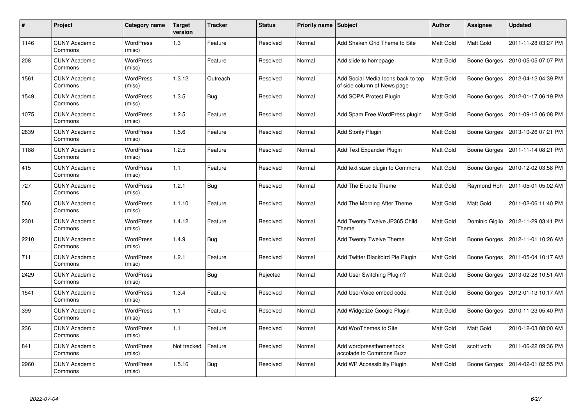| #    | Project                         | Category name              | <b>Target</b><br>version | <b>Tracker</b> | <b>Status</b> | <b>Priority name   Subject</b> |                                                                   | Author           | Assignee            | <b>Updated</b>      |
|------|---------------------------------|----------------------------|--------------------------|----------------|---------------|--------------------------------|-------------------------------------------------------------------|------------------|---------------------|---------------------|
| 1146 | <b>CUNY Academic</b><br>Commons | <b>WordPress</b><br>(misc) | 1.3                      | Feature        | Resolved      | Normal                         | Add Shaken Grid Theme to Site                                     | <b>Matt Gold</b> | Matt Gold           | 2011-11-28 03:27 PM |
| 208  | <b>CUNY Academic</b><br>Commons | WordPress<br>(misc)        |                          | Feature        | Resolved      | Normal                         | Add slide to homepage                                             | <b>Matt Gold</b> | Boone Gorges        | 2010-05-05 07:07 PM |
| 1561 | <b>CUNY Academic</b><br>Commons | <b>WordPress</b><br>(misc) | 1.3.12                   | Outreach       | Resolved      | Normal                         | Add Social Media Icons back to top<br>of side column of News page | Matt Gold        | Boone Gorges        | 2012-04-12 04:39 PM |
| 1549 | <b>CUNY Academic</b><br>Commons | <b>WordPress</b><br>(misc) | 1.3.5                    | Bug            | Resolved      | Normal                         | Add SOPA Protest Plugin                                           | Matt Gold        | Boone Gorges        | 2012-01-17 06:19 PM |
| 1075 | <b>CUNY Academic</b><br>Commons | <b>WordPress</b><br>(misc) | 1.2.5                    | Feature        | Resolved      | Normal                         | Add Spam Free WordPress plugin                                    | <b>Matt Gold</b> | Boone Gorges        | 2011-09-12 06:08 PM |
| 2839 | <b>CUNY Academic</b><br>Commons | WordPress<br>(misc)        | 1.5.6                    | Feature        | Resolved      | Normal                         | <b>Add Storify Plugin</b>                                         | Matt Gold        | <b>Boone Gorges</b> | 2013-10-26 07:21 PM |
| 1188 | <b>CUNY Academic</b><br>Commons | <b>WordPress</b><br>(misc) | 1.2.5                    | Feature        | Resolved      | Normal                         | Add Text Expander Plugin                                          | Matt Gold        | Boone Gorges        | 2011-11-14 08:21 PM |
| 415  | <b>CUNY Academic</b><br>Commons | WordPress<br>(misc)        | 1.1                      | Feature        | Resolved      | Normal                         | Add text sizer plugin to Commons                                  | Matt Gold        | Boone Gorges        | 2010-12-02 03:58 PM |
| 727  | <b>CUNY Academic</b><br>Commons | <b>WordPress</b><br>(misc) | 1.2.1                    | Bug            | Resolved      | Normal                         | Add The Erudite Theme                                             | Matt Gold        | Raymond Hoh         | 2011-05-01 05:02 AM |
| 566  | <b>CUNY Academic</b><br>Commons | <b>WordPress</b><br>(misc) | 1.1.10                   | Feature        | Resolved      | Normal                         | Add The Morning After Theme                                       | Matt Gold        | Matt Gold           | 2011-02-06 11:40 PM |
| 2301 | <b>CUNY Academic</b><br>Commons | <b>WordPress</b><br>(misc) | 1.4.12                   | Feature        | Resolved      | Normal                         | Add Twenty Twelve JP365 Child<br>Theme                            | Matt Gold        | Dominic Giglio      | 2012-11-29 03:41 PM |
| 2210 | <b>CUNY Academic</b><br>Commons | <b>WordPress</b><br>(misc) | 1.4.9                    | <b>Bug</b>     | Resolved      | Normal                         | Add Twenty Twelve Theme                                           | Matt Gold        | Boone Gorges        | 2012-11-01 10:26 AM |
| 711  | <b>CUNY Academic</b><br>Commons | <b>WordPress</b><br>(misc) | 1.2.1                    | Feature        | Resolved      | Normal                         | Add Twitter Blackbird Pie Plugin                                  | Matt Gold        | Boone Gorges        | 2011-05-04 10:17 AM |
| 2429 | <b>CUNY Academic</b><br>Commons | WordPress<br>(misc)        |                          | <b>Bug</b>     | Rejected      | Normal                         | Add User Switching Plugin?                                        | Matt Gold        | Boone Gorges        | 2013-02-28 10:51 AM |
| 1541 | <b>CUNY Academic</b><br>Commons | WordPress<br>(misc)        | 1.3.4                    | Feature        | Resolved      | Normal                         | Add UserVoice embed code                                          | Matt Gold        | Boone Gorges        | 2012-01-13 10:17 AM |
| 399  | <b>CUNY Academic</b><br>Commons | WordPress<br>(misc)        | 1.1                      | Feature        | Resolved      | Normal                         | Add Widgetize Google Plugin                                       | Matt Gold        | Boone Gorges        | 2010-11-23 05:40 PM |
| 236  | <b>CUNY Academic</b><br>Commons | WordPress<br>(misc)        | 1.1                      | Feature        | Resolved      | Normal                         | Add WooThemes to Site                                             | Matt Gold        | Matt Gold           | 2010-12-03 08:00 AM |
| 841  | <b>CUNY Academic</b><br>Commons | WordPress<br>(misc)        | Not tracked              | Feature        | Resolved      | Normal                         | Add wordpressthemeshock<br>accolade to Commons Buzz               | Matt Gold        | scott voth          | 2011-06-22 09:36 PM |
| 2960 | CUNY Academic<br>Commons        | <b>WordPress</b><br>(misc) | 1.5.16                   | <b>Bug</b>     | Resolved      | Normal                         | Add WP Accessibility Plugin                                       | Matt Gold        | Boone Gorges        | 2014-02-01 02:55 PM |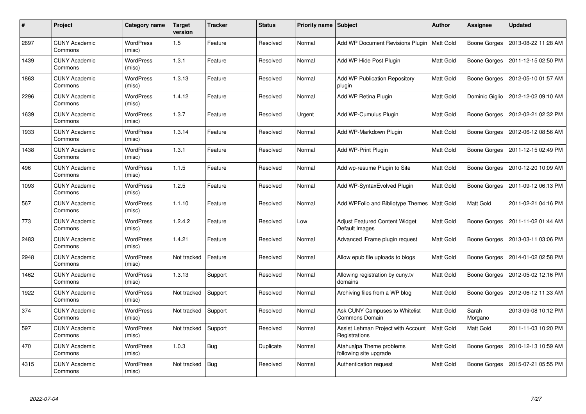| #    | Project                         | Category name              | <b>Target</b><br>version | <b>Tracker</b> | <b>Status</b> | <b>Priority name   Subject</b> |                                                         | Author           | Assignee            | <b>Updated</b>      |
|------|---------------------------------|----------------------------|--------------------------|----------------|---------------|--------------------------------|---------------------------------------------------------|------------------|---------------------|---------------------|
| 2697 | <b>CUNY Academic</b><br>Commons | <b>WordPress</b><br>(misc) | 1.5                      | Feature        | Resolved      | Normal                         | Add WP Document Revisions Plugin   Matt Gold            |                  | <b>Boone Gorges</b> | 2013-08-22 11:28 AM |
| 1439 | <b>CUNY Academic</b><br>Commons | <b>WordPress</b><br>(misc) | 1.3.1                    | Feature        | Resolved      | Normal                         | Add WP Hide Post Plugin                                 | <b>Matt Gold</b> | Boone Gorges        | 2011-12-15 02:50 PM |
| 1863 | <b>CUNY Academic</b><br>Commons | <b>WordPress</b><br>(misc) | 1.3.13                   | Feature        | Resolved      | Normal                         | <b>Add WP Publication Repository</b><br>plugin          | Matt Gold        | Boone Gorges        | 2012-05-10 01:57 AM |
| 2296 | <b>CUNY Academic</b><br>Commons | <b>WordPress</b><br>(misc) | 1.4.12                   | Feature        | Resolved      | Normal                         | Add WP Retina Plugin                                    | Matt Gold        | Dominic Giglio      | 2012-12-02 09:10 AM |
| 1639 | <b>CUNY Academic</b><br>Commons | <b>WordPress</b><br>(misc) | 1.3.7                    | Feature        | Resolved      | Urgent                         | Add WP-Cumulus Plugin                                   | <b>Matt Gold</b> | Boone Gorges        | 2012-02-21 02:32 PM |
| 1933 | <b>CUNY Academic</b><br>Commons | <b>WordPress</b><br>(misc) | 1.3.14                   | Feature        | Resolved      | Normal                         | Add WP-Markdown Plugin                                  | Matt Gold        | Boone Gorges        | 2012-06-12 08:56 AM |
| 1438 | <b>CUNY Academic</b><br>Commons | <b>WordPress</b><br>(misc) | 1.3.1                    | Feature        | Resolved      | Normal                         | Add WP-Print Plugin                                     | <b>Matt Gold</b> | Boone Gorges        | 2011-12-15 02:49 PM |
| 496  | <b>CUNY Academic</b><br>Commons | WordPress<br>(misc)        | 1.1.5                    | Feature        | Resolved      | Normal                         | Add wp-resume Plugin to Site                            | Matt Gold        | Boone Gorges        | 2010-12-20 10:09 AM |
| 1093 | <b>CUNY Academic</b><br>Commons | <b>WordPress</b><br>(misc) | 1.2.5                    | Feature        | Resolved      | Normal                         | Add WP-SyntaxEvolved Plugin                             | Matt Gold        | Boone Gorges        | 2011-09-12 06:13 PM |
| 567  | <b>CUNY Academic</b><br>Commons | WordPress<br>(misc)        | 1.1.10                   | Feature        | Resolved      | Normal                         | Add WPFolio and Bibliotype Themes   Matt Gold           |                  | Matt Gold           | 2011-02-21 04:16 PM |
| 773  | <b>CUNY Academic</b><br>Commons | <b>WordPress</b><br>(misc) | 1.2.4.2                  | Feature        | Resolved      | Low                            | Adjust Featured Content Widget<br>Default Images        | Matt Gold        | Boone Gorges        | 2011-11-02 01:44 AM |
| 2483 | <b>CUNY Academic</b><br>Commons | <b>WordPress</b><br>(misc) | 1.4.21                   | Feature        | Resolved      | Normal                         | Advanced iFrame plugin request                          | Matt Gold        | Boone Gorges        | 2013-03-11 03:06 PM |
| 2948 | <b>CUNY Academic</b><br>Commons | WordPress<br>(misc)        | Not tracked              | Feature        | Resolved      | Normal                         | Allow epub file uploads to blogs                        | Matt Gold        | Boone Gorges        | 2014-01-02 02:58 PM |
| 1462 | <b>CUNY Academic</b><br>Commons | <b>WordPress</b><br>(misc) | 1.3.13                   | Support        | Resolved      | Normal                         | Allowing registration by cuny tv<br>domains             | Matt Gold        | Boone Gorges        | 2012-05-02 12:16 PM |
| 1922 | <b>CUNY Academic</b><br>Commons | WordPress<br>(misc)        | Not tracked              | Support        | Resolved      | Normal                         | Archiving files from a WP blog                          | Matt Gold        | Boone Gorges        | 2012-06-12 11:33 AM |
| 374  | <b>CUNY Academic</b><br>Commons | WordPress<br>(misc)        | Not tracked              | Support        | Resolved      | Normal                         | Ask CUNY Campuses to Whitelist<br><b>Commons Domain</b> | Matt Gold        | Sarah<br>Morgano    | 2013-09-08 10:12 PM |
| 597  | <b>CUNY Academic</b><br>Commons | WordPress<br>(misc)        | Not tracked              | Support        | Resolved      | Normal                         | Assist Lehman Project with Account<br>Registrations     | <b>Matt Gold</b> | Matt Gold           | 2011-11-03 10:20 PM |
| 470  | <b>CUNY Academic</b><br>Commons | <b>WordPress</b><br>(misc) | 1.0.3                    | Bug            | Duplicate     | Normal                         | Atahualpa Theme problems<br>following site upgrade      | Matt Gold        | <b>Boone Gorges</b> | 2010-12-13 10:59 AM |
| 4315 | CUNY Academic<br>Commons        | WordPress<br>(misc)        | Not tracked              | <b>Bug</b>     | Resolved      | Normal                         | Authentication request                                  | Matt Gold        | Boone Gorges        | 2015-07-21 05:55 PM |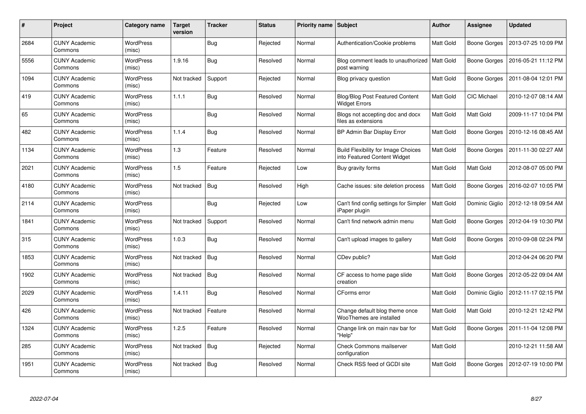| #    | Project                         | Category name              | <b>Target</b><br>version | <b>Tracker</b> | <b>Status</b> | <b>Priority name   Subject</b> |                                                                            | <b>Author</b>    | Assignee            | <b>Updated</b>      |
|------|---------------------------------|----------------------------|--------------------------|----------------|---------------|--------------------------------|----------------------------------------------------------------------------|------------------|---------------------|---------------------|
| 2684 | <b>CUNY Academic</b><br>Commons | <b>WordPress</b><br>(misc) |                          | Bug            | Rejected      | Normal                         | Authentication/Cookie problems                                             | Matt Gold        | <b>Boone Gorges</b> | 2013-07-25 10:09 PM |
| 5556 | <b>CUNY Academic</b><br>Commons | WordPress<br>(misc)        | 1.9.16                   | <b>Bug</b>     | Resolved      | Normal                         | Blog comment leads to unauthorized<br>post warning                         | Matt Gold        | Boone Gorges        | 2016-05-21 11:12 PM |
| 1094 | <b>CUNY Academic</b><br>Commons | <b>WordPress</b><br>(misc) | Not tracked              | Support        | Rejected      | Normal                         | Blog privacy question                                                      | Matt Gold        | Boone Gorges        | 2011-08-04 12:01 PM |
| 419  | <b>CUNY Academic</b><br>Commons | <b>WordPress</b><br>(misc) | 1.1.1                    | <b>Bug</b>     | Resolved      | Normal                         | <b>Blog/Blog Post Featured Content</b><br><b>Widget Errors</b>             | Matt Gold        | <b>CIC Michael</b>  | 2010-12-07 08:14 AM |
| 65   | <b>CUNY Academic</b><br>Commons | <b>WordPress</b><br>(misc) |                          | <b>Bug</b>     | Resolved      | Normal                         | Blogs not accepting doc and docx<br>files as extensions                    | <b>Matt Gold</b> | <b>Matt Gold</b>    | 2009-11-17 10:04 PM |
| 482  | <b>CUNY Academic</b><br>Commons | WordPress<br>(misc)        | 1.1.4                    | <b>Bug</b>     | Resolved      | Normal                         | BP Admin Bar Display Error                                                 | Matt Gold        | Boone Gorges        | 2010-12-16 08:45 AM |
| 1134 | <b>CUNY Academic</b><br>Commons | WordPress<br>(misc)        | 1.3                      | Feature        | Resolved      | Normal                         | <b>Build Flexibility for Image Choices</b><br>into Featured Content Widget | Matt Gold        | Boone Gorges        | 2011-11-30 02:27 AM |
| 2021 | <b>CUNY Academic</b><br>Commons | WordPress<br>(misc)        | 1.5                      | Feature        | Rejected      | Low                            | Buy gravity forms                                                          | Matt Gold        | Matt Gold           | 2012-08-07 05:00 PM |
| 4180 | <b>CUNY Academic</b><br>Commons | WordPress<br>(misc)        | Not tracked              | <b>Bug</b>     | Resolved      | High                           | Cache issues: site deletion process                                        | Matt Gold        | Boone Gorges        | 2016-02-07 10:05 PM |
| 2114 | <b>CUNY Academic</b><br>Commons | WordPress<br>(misc)        |                          | <b>Bug</b>     | Rejected      | Low                            | Can't find config settings for Simpler<br>iPaper plugin                    | Matt Gold        | Dominic Giglio      | 2012-12-18 09:54 AM |
| 1841 | <b>CUNY Academic</b><br>Commons | <b>WordPress</b><br>(misc) | Not tracked              | Support        | Resolved      | Normal                         | Can't find network admin menu                                              | Matt Gold        | Boone Gorges        | 2012-04-19 10:30 PM |
| 315  | <b>CUNY Academic</b><br>Commons | <b>WordPress</b><br>(misc) | 1.0.3                    | <b>Bug</b>     | Resolved      | Normal                         | Can't upload images to gallery                                             | Matt Gold        | Boone Gorges        | 2010-09-08 02:24 PM |
| 1853 | <b>CUNY Academic</b><br>Commons | WordPress<br>(misc)        | Not tracked              | <b>Bug</b>     | Resolved      | Normal                         | CDev public?                                                               | Matt Gold        |                     | 2012-04-24 06:20 PM |
| 1902 | <b>CUNY Academic</b><br>Commons | WordPress<br>(misc)        | Not tracked              | Bug            | Resolved      | Normal                         | CF access to home page slide<br>creation                                   | Matt Gold        | Boone Gorges        | 2012-05-22 09:04 AM |
| 2029 | <b>CUNY Academic</b><br>Commons | WordPress<br>(misc)        | 1.4.11                   | <b>Bug</b>     | Resolved      | Normal                         | CForms error                                                               | Matt Gold        | Dominic Giglio      | 2012-11-17 02:15 PM |
| 426  | <b>CUNY Academic</b><br>Commons | <b>WordPress</b><br>(misc) | Not tracked              | Feature        | Resolved      | Normal                         | Change default blog theme once<br>WooThemes are installed                  | Matt Gold        | Matt Gold           | 2010-12-21 12:42 PM |
| 1324 | <b>CUNY Academic</b><br>Commons | <b>WordPress</b><br>(misc) | 1.2.5                    | Feature        | Resolved      | Normal                         | Change link on main nav bar for<br>"Help"                                  | Matt Gold        | Boone Gorges        | 2011-11-04 12:08 PM |
| 285  | <b>CUNY Academic</b><br>Commons | <b>WordPress</b><br>(misc) | Not tracked              | <b>Bug</b>     | Rejected      | Normal                         | Check Commons mailserver<br>configuration                                  | Matt Gold        |                     | 2010-12-21 11:58 AM |
| 1951 | <b>CUNY Academic</b><br>Commons | <b>WordPress</b><br>(misc) | Not tracked              | <b>Bug</b>     | Resolved      | Normal                         | Check RSS feed of GCDI site                                                | Matt Gold        | Boone Gorges        | 2012-07-19 10:00 PM |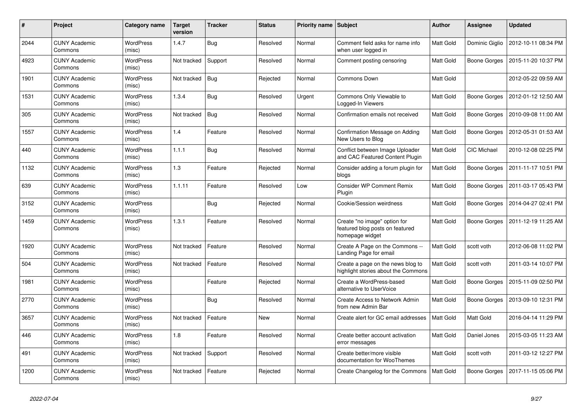| #    | Project                         | Category name              | <b>Target</b><br>version | <b>Tracker</b> | <b>Status</b> | <b>Priority name Subject</b> |                                                                                    | <b>Author</b>    | <b>Assignee</b>     | <b>Updated</b>      |
|------|---------------------------------|----------------------------|--------------------------|----------------|---------------|------------------------------|------------------------------------------------------------------------------------|------------------|---------------------|---------------------|
| 2044 | <b>CUNY Academic</b><br>Commons | <b>WordPress</b><br>(misc) | 1.4.7                    | <b>Bug</b>     | Resolved      | Normal                       | Comment field asks for name info<br>when user logged in                            | <b>Matt Gold</b> | Dominic Giglio      | 2012-10-11 08:34 PM |
| 4923 | <b>CUNY Academic</b><br>Commons | <b>WordPress</b><br>(misc) | Not tracked              | Support        | Resolved      | Normal                       | Comment posting censoring                                                          | Matt Gold        | Boone Gorges        | 2015-11-20 10:37 PM |
| 1901 | <b>CUNY Academic</b><br>Commons | <b>WordPress</b><br>(misc) | Not tracked              | <b>Bug</b>     | Rejected      | Normal                       | Commons Down                                                                       | Matt Gold        |                     | 2012-05-22 09:59 AM |
| 1531 | <b>CUNY Academic</b><br>Commons | <b>WordPress</b><br>(misc) | 1.3.4                    | <b>Bug</b>     | Resolved      | Urgent                       | Commons Only Viewable to<br>Logged-In Viewers                                      | Matt Gold        | Boone Gorges        | 2012-01-12 12:50 AM |
| 305  | <b>CUNY Academic</b><br>Commons | WordPress<br>(misc)        | Not tracked              | <b>Bug</b>     | Resolved      | Normal                       | Confirmation emails not received                                                   | Matt Gold        | Boone Gorges        | 2010-09-08 11:00 AM |
| 1557 | <b>CUNY Academic</b><br>Commons | <b>WordPress</b><br>(misc) | 1.4                      | Feature        | Resolved      | Normal                       | Confirmation Message on Adding<br>New Users to Blog                                | Matt Gold        | Boone Gorges        | 2012-05-31 01:53 AM |
| 440  | <b>CUNY Academic</b><br>Commons | <b>WordPress</b><br>(misc) | 1.1.1                    | Bug            | Resolved      | Normal                       | Conflict between Image Uploader<br>and CAC Featured Content Plugin                 | Matt Gold        | CIC Michael         | 2010-12-08 02:25 PM |
| 1132 | <b>CUNY Academic</b><br>Commons | <b>WordPress</b><br>(misc) | 1.3                      | Feature        | Rejected      | Normal                       | Consider adding a forum plugin for<br>blogs                                        | Matt Gold        | Boone Gorges        | 2011-11-17 10:51 PM |
| 639  | <b>CUNY Academic</b><br>Commons | <b>WordPress</b><br>(misc) | 1.1.11                   | Feature        | Resolved      | Low                          | <b>Consider WP Comment Remix</b><br>Plugin                                         | Matt Gold        | <b>Boone Gorges</b> | 2011-03-17 05:43 PM |
| 3152 | <b>CUNY Academic</b><br>Commons | <b>WordPress</b><br>(misc) |                          | <b>Bug</b>     | Rejected      | Normal                       | Cookie/Session weirdness                                                           | Matt Gold        | Boone Gorges        | 2014-04-27 02:41 PM |
| 1459 | <b>CUNY Academic</b><br>Commons | <b>WordPress</b><br>(misc) | 1.3.1                    | Feature        | Resolved      | Normal                       | Create "no image" option for<br>featured blog posts on featured<br>homepage widget | Matt Gold        | Boone Gorges        | 2011-12-19 11:25 AM |
| 1920 | <b>CUNY Academic</b><br>Commons | <b>WordPress</b><br>(misc) | Not tracked              | Feature        | Resolved      | Normal                       | Create A Page on the Commons --<br>Landing Page for email                          | Matt Gold        | scott voth          | 2012-06-08 11:02 PM |
| 504  | <b>CUNY Academic</b><br>Commons | <b>WordPress</b><br>(misc) | Not tracked              | Feature        | Resolved      | Normal                       | Create a page on the news blog to<br>highlight stories about the Commons           | Matt Gold        | scott voth          | 2011-03-14 10:07 PM |
| 1981 | <b>CUNY Academic</b><br>Commons | <b>WordPress</b><br>(misc) |                          | Feature        | Rejected      | Normal                       | Create a WordPress-based<br>alternative to UserVoice                               | Matt Gold        | Boone Gorges        | 2015-11-09 02:50 PM |
| 2770 | <b>CUNY Academic</b><br>Commons | <b>WordPress</b><br>(misc) |                          | Bug            | Resolved      | Normal                       | Create Access to Network Admin<br>from new Admin Bar                               | Matt Gold        | Boone Gorges        | 2013-09-10 12:31 PM |
| 3657 | <b>CUNY Academic</b><br>Commons | <b>WordPress</b><br>(misc) | Not tracked              | Feature        | <b>New</b>    | Normal                       | Create alert for GC email addresses                                                | Matt Gold        | <b>Matt Gold</b>    | 2016-04-14 11:29 PM |
| 446  | <b>CUNY Academic</b><br>Commons | <b>WordPress</b><br>(misc) | 1.8                      | Feature        | Resolved      | Normal                       | Create better account activation<br>error messages                                 | Matt Gold        | Daniel Jones        | 2015-03-05 11:23 AM |
| 491  | <b>CUNY Academic</b><br>Commons | <b>WordPress</b><br>(misc) | Not tracked              | Support        | Resolved      | Normal                       | Create better/more visible<br>documentation for WooThemes                          | Matt Gold        | scott voth          | 2011-03-12 12:27 PM |
| 1200 | <b>CUNY Academic</b><br>Commons | WordPress<br>(misc)        | Not tracked              | Feature        | Rejected      | Normal                       | Create Changelog for the Commons                                                   | <b>Matt Gold</b> | Boone Gorges        | 2017-11-15 05:06 PM |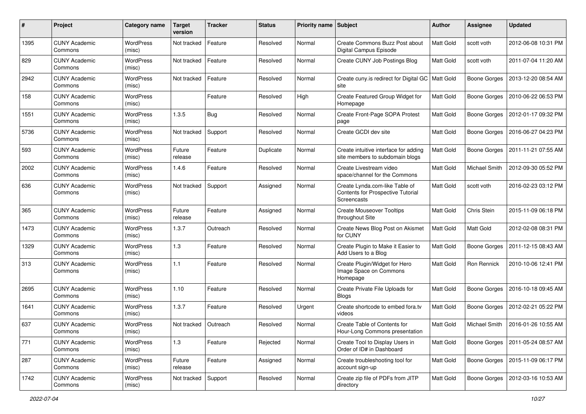| #    | Project                         | Category name              | <b>Target</b><br>version | <b>Tracker</b> | <b>Status</b> | Priority name Subject |                                                                                    | <b>Author</b>    | Assignee            | <b>Updated</b>      |
|------|---------------------------------|----------------------------|--------------------------|----------------|---------------|-----------------------|------------------------------------------------------------------------------------|------------------|---------------------|---------------------|
| 1395 | <b>CUNY Academic</b><br>Commons | WordPress<br>(misc)        | Not tracked              | Feature        | Resolved      | Normal                | Create Commons Buzz Post about<br>Digital Campus Episode                           | <b>Matt Gold</b> | scott voth          | 2012-06-08 10:31 PM |
| 829  | <b>CUNY Academic</b><br>Commons | <b>WordPress</b><br>(misc) | Not tracked              | Feature        | Resolved      | Normal                | Create CUNY Job Postings Blog                                                      | <b>Matt Gold</b> | scott voth          | 2011-07-04 11:20 AM |
| 2942 | <b>CUNY Academic</b><br>Commons | <b>WordPress</b><br>(misc) | Not tracked              | Feature        | Resolved      | Normal                | Create cuny is redirect for Digital GC   Matt Gold<br>site                         |                  | <b>Boone Gorges</b> | 2013-12-20 08:54 AM |
| 158  | <b>CUNY Academic</b><br>Commons | <b>WordPress</b><br>(misc) |                          | Feature        | Resolved      | High                  | Create Featured Group Widget for<br>Homepage                                       | <b>Matt Gold</b> | <b>Boone Gorges</b> | 2010-06-22 06:53 PM |
| 1551 | <b>CUNY Academic</b><br>Commons | WordPress<br>(misc)        | 1.3.5                    | Bug            | Resolved      | Normal                | Create Front-Page SOPA Protest<br>page                                             | Matt Gold        | <b>Boone Gorges</b> | 2012-01-17 09:32 PM |
| 5736 | <b>CUNY Academic</b><br>Commons | WordPress<br>(misc)        | Not tracked              | Support        | Resolved      | Normal                | Create GCDI dev site                                                               | Matt Gold        | Boone Gorges        | 2016-06-27 04:23 PM |
| 593  | <b>CUNY Academic</b><br>Commons | WordPress<br>(misc)        | Future<br>release        | Feature        | Duplicate     | Normal                | Create intuitive interface for adding<br>site members to subdomain blogs           | Matt Gold        | Boone Gorges        | 2011-11-21 07:55 AM |
| 2002 | <b>CUNY Academic</b><br>Commons | WordPress<br>(misc)        | 1.4.6                    | Feature        | Resolved      | Normal                | Create Livestream video<br>space/channel for the Commons                           | Matt Gold        | Michael Smith       | 2012-09-30 05:52 PM |
| 636  | <b>CUNY Academic</b><br>Commons | <b>WordPress</b><br>(misc) | Not tracked              | Support        | Assigned      | Normal                | Create Lynda.com-like Table of<br>Contents for Prospective Tutorial<br>Screencasts | <b>Matt Gold</b> | scott voth          | 2016-02-23 03:12 PM |
| 365  | <b>CUNY Academic</b><br>Commons | <b>WordPress</b><br>(misc) | Future<br>release        | Feature        | Assigned      | Normal                | <b>Create Mouseover Tooltips</b><br>throughout Site                                | <b>Matt Gold</b> | Chris Stein         | 2015-11-09 06:18 PM |
| 1473 | CUNY Academic<br>Commons        | <b>WordPress</b><br>(misc) | 1.3.7                    | Outreach       | Resolved      | Normal                | Create News Blog Post on Akismet<br>for CUNY                                       | Matt Gold        | Matt Gold           | 2012-02-08 08:31 PM |
| 1329 | <b>CUNY Academic</b><br>Commons | <b>WordPress</b><br>(misc) | 1.3                      | Feature        | Resolved      | Normal                | Create Plugin to Make it Easier to<br>Add Users to a Blog                          | Matt Gold        | Boone Gorges        | 2011-12-15 08:43 AM |
| 313  | <b>CUNY Academic</b><br>Commons | WordPress<br>(misc)        | 1.1                      | Feature        | Resolved      | Normal                | Create Plugin/Widget for Hero<br>Image Space on Commons<br>Homepage                | Matt Gold        | Ron Rennick         | 2010-10-06 12:41 PM |
| 2695 | <b>CUNY Academic</b><br>Commons | WordPress<br>(misc)        | 1.10                     | Feature        | Resolved      | Normal                | Create Private File Uploads for<br><b>Blogs</b>                                    | <b>Matt Gold</b> | Boone Gorges        | 2016-10-18 09:45 AM |
| 1641 | <b>CUNY Academic</b><br>Commons | WordPress<br>(misc)        | 1.3.7                    | Feature        | Resolved      | Urgent                | Create shortcode to embed fora.tv<br>videos                                        | Matt Gold        | Boone Gorges        | 2012-02-21 05:22 PM |
| 637  | <b>CUNY Academic</b><br>Commons | <b>WordPress</b><br>(misc) | Not tracked              | Outreach       | Resolved      | Normal                | Create Table of Contents for<br>Hour-Long Commons presentation                     | <b>Matt Gold</b> | Michael Smith       | 2016-01-26 10:55 AM |
| 771  | <b>CUNY Academic</b><br>Commons | WordPress<br>(misc)        | 1.3                      | Feature        | Rejected      | Normal                | Create Tool to Display Users in<br>Order of ID# in Dashboard                       | Matt Gold        | Boone Gorges        | 2011-05-24 08:57 AM |
| 287  | <b>CUNY Academic</b><br>Commons | <b>WordPress</b><br>(misc) | Future<br>release        | Feature        | Assigned      | Normal                | Create troubleshooting tool for<br>account sign-up                                 | Matt Gold        | Boone Gorges        | 2015-11-09 06:17 PM |
| 1742 | <b>CUNY Academic</b><br>Commons | WordPress<br>(misc)        | Not tracked              | Support        | Resolved      | Normal                | Create zip file of PDFs from JITP<br>directory                                     | Matt Gold        | <b>Boone Gorges</b> | 2012-03-16 10:53 AM |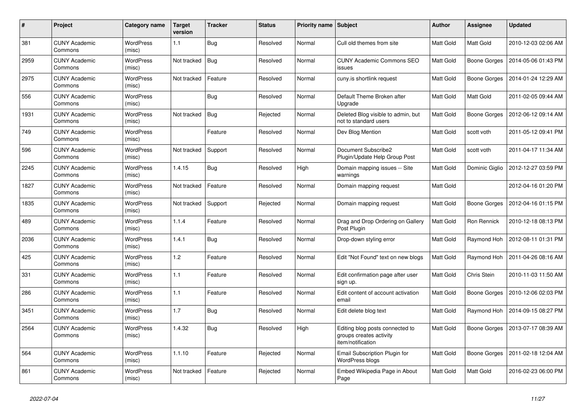| #    | Project                         | Category name              | <b>Target</b><br>version | <b>Tracker</b> | <b>Status</b> | <b>Priority name Subject</b> |                                                                                 | <b>Author</b>    | <b>Assignee</b>     | <b>Updated</b>      |
|------|---------------------------------|----------------------------|--------------------------|----------------|---------------|------------------------------|---------------------------------------------------------------------------------|------------------|---------------------|---------------------|
| 381  | <b>CUNY Academic</b><br>Commons | <b>WordPress</b><br>(misc) | 1.1                      | <b>Bug</b>     | Resolved      | Normal                       | Cull old themes from site                                                       | Matt Gold        | <b>Matt Gold</b>    | 2010-12-03 02:06 AM |
| 2959 | <b>CUNY Academic</b><br>Commons | <b>WordPress</b><br>(misc) | Not tracked              | <b>Bug</b>     | Resolved      | Normal                       | <b>CUNY Academic Commons SEO</b><br>issues                                      | Matt Gold        | Boone Gorges        | 2014-05-06 01:43 PM |
| 2975 | <b>CUNY Academic</b><br>Commons | <b>WordPress</b><br>(misc) | Not tracked              | Feature        | Resolved      | Normal                       | cuny.is shortlink request                                                       | Matt Gold        | <b>Boone Gorges</b> | 2014-01-24 12:29 AM |
| 556  | <b>CUNY Academic</b><br>Commons | WordPress<br>(misc)        |                          | Bug            | Resolved      | Normal                       | Default Theme Broken after<br>Upgrade                                           | Matt Gold        | <b>Matt Gold</b>    | 2011-02-05 09:44 AM |
| 1931 | <b>CUNY Academic</b><br>Commons | WordPress<br>(misc)        | Not tracked              | <b>Bug</b>     | Rejected      | Normal                       | Deleted Blog visible to admin, but<br>not to standard users                     | Matt Gold        | Boone Gorges        | 2012-06-12 09:14 AM |
| 749  | <b>CUNY Academic</b><br>Commons | <b>WordPress</b><br>(misc) |                          | Feature        | Resolved      | Normal                       | Dev Blog Mention                                                                | Matt Gold        | scott voth          | 2011-05-12 09:41 PM |
| 596  | <b>CUNY Academic</b><br>Commons | WordPress<br>(misc)        | Not tracked              | Support        | Resolved      | Normal                       | Document Subscribe2<br>Plugin/Update Help Group Post                            | Matt Gold        | scott voth          | 2011-04-17 11:34 AM |
| 2245 | <b>CUNY Academic</b><br>Commons | WordPress<br>(misc)        | 1.4.15                   | <b>Bug</b>     | Resolved      | High                         | Domain mapping issues -- Site<br>warnings                                       | Matt Gold        | Dominic Giglio      | 2012-12-27 03:59 PM |
| 1827 | <b>CUNY Academic</b><br>Commons | <b>WordPress</b><br>(misc) | Not tracked              | Feature        | Resolved      | Normal                       | Domain mapping request                                                          | Matt Gold        |                     | 2012-04-16 01:20 PM |
| 1835 | <b>CUNY Academic</b><br>Commons | <b>WordPress</b><br>(misc) | Not tracked              | Support        | Rejected      | Normal                       | Domain mapping request                                                          | Matt Gold        | Boone Gorges        | 2012-04-16 01:15 PM |
| 489  | <b>CUNY Academic</b><br>Commons | WordPress<br>(misc)        | 1.1.4                    | Feature        | Resolved      | Normal                       | Drag and Drop Ordering on Gallery<br>Post Plugin                                | Matt Gold        | Ron Rennick         | 2010-12-18 08:13 PM |
| 2036 | <b>CUNY Academic</b><br>Commons | <b>WordPress</b><br>(misc) | 1.4.1                    | Bug            | Resolved      | Normal                       | Drop-down styling error                                                         | <b>Matt Gold</b> | Raymond Hoh         | 2012-08-11 01:31 PM |
| 425  | <b>CUNY Academic</b><br>Commons | WordPress<br>(misc)        | 1.2                      | Feature        | Resolved      | Normal                       | Edit "Not Found" text on new blogs                                              | Matt Gold        | Raymond Hoh         | 2011-04-26 08:16 AM |
| 331  | <b>CUNY Academic</b><br>Commons | WordPress<br>(misc)        | 1.1                      | Feature        | Resolved      | Normal                       | Edit confirmation page after user<br>sign up.                                   | Matt Gold        | Chris Stein         | 2010-11-03 11:50 AM |
| 286  | <b>CUNY Academic</b><br>Commons | <b>WordPress</b><br>(misc) | 1.1                      | Feature        | Resolved      | Normal                       | Edit content of account activation<br>email                                     | Matt Gold        | Boone Gorges        | 2010-12-06 02:03 PM |
| 3451 | <b>CUNY Academic</b><br>Commons | <b>WordPress</b><br>(misc) | 1.7                      | <b>Bug</b>     | Resolved      | Normal                       | Edit delete blog text                                                           | Matt Gold        | Raymond Hoh         | 2014-09-15 08:27 PM |
| 2564 | <b>CUNY Academic</b><br>Commons | <b>WordPress</b><br>(misc) | 1.4.32                   | Bug            | Resolved      | High                         | Editing blog posts connected to<br>groups creates activity<br>item/notification | Matt Gold        | Boone Gorges        | 2013-07-17 08:39 AM |
| 564  | <b>CUNY Academic</b><br>Commons | <b>WordPress</b><br>(misc) | 1.1.10                   | Feature        | Rejected      | Normal                       | Email Subscription Plugin for<br>WordPress blogs                                | Matt Gold        | Boone Gorges        | 2011-02-18 12:04 AM |
| 861  | <b>CUNY Academic</b><br>Commons | WordPress<br>(misc)        | Not tracked              | Feature        | Rejected      | Normal                       | Embed Wikipedia Page in About<br>Page                                           | Matt Gold        | Matt Gold           | 2016-02-23 06:00 PM |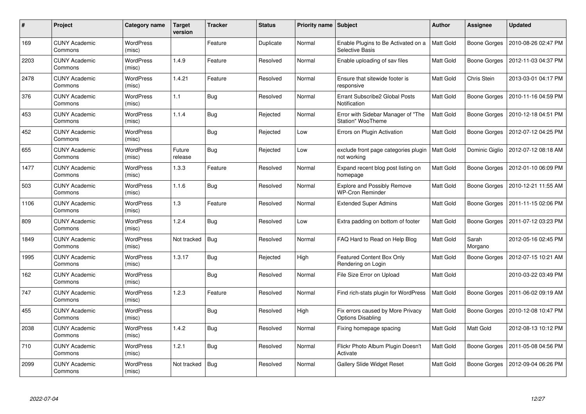| #    | <b>Project</b>                  | Category name              | <b>Target</b><br>version | <b>Tracker</b> | <b>Status</b> | <b>Priority name   Subject</b> |                                                               | <b>Author</b>    | Assignee         | <b>Updated</b>      |
|------|---------------------------------|----------------------------|--------------------------|----------------|---------------|--------------------------------|---------------------------------------------------------------|------------------|------------------|---------------------|
| 169  | <b>CUNY Academic</b><br>Commons | <b>WordPress</b><br>(misc) |                          | Feature        | Duplicate     | Normal                         | Enable Plugins to Be Activated on a<br>Selective Basis        | Matt Gold        | Boone Gorges     | 2010-08-26 02:47 PM |
| 2203 | <b>CUNY Academic</b><br>Commons | <b>WordPress</b><br>(misc) | 1.4.9                    | Feature        | Resolved      | Normal                         | Enable uploading of sav files                                 | Matt Gold        | Boone Gorges     | 2012-11-03 04:37 PM |
| 2478 | <b>CUNY Academic</b><br>Commons | <b>WordPress</b><br>(misc) | 1.4.21                   | Feature        | Resolved      | Normal                         | Ensure that sitewide footer is<br>responsive                  | Matt Gold        | Chris Stein      | 2013-03-01 04:17 PM |
| 376  | <b>CUNY Academic</b><br>Commons | <b>WordPress</b><br>(misc) | 1.1                      | Bug            | Resolved      | Normal                         | Errant Subscribe2 Global Posts<br>Notification                | Matt Gold        | Boone Gorges     | 2010-11-16 04:59 PM |
| 453  | <b>CUNY Academic</b><br>Commons | <b>WordPress</b><br>(misc) | 1.1.4                    | Bug            | Rejected      | Normal                         | Error with Sidebar Manager of "The<br>Station" WooTheme       | Matt Gold        | Boone Gorges     | 2010-12-18 04:51 PM |
| 452  | <b>CUNY Academic</b><br>Commons | <b>WordPress</b><br>(misc) |                          | <b>Bug</b>     | Rejected      | Low                            | Errors on Plugin Activation                                   | Matt Gold        | Boone Gorges     | 2012-07-12 04:25 PM |
| 655  | <b>CUNY Academic</b><br>Commons | <b>WordPress</b><br>(misc) | Future<br>release        | <b>Bug</b>     | Rejected      | Low                            | exclude front page categories plugin<br>not working           | Matt Gold        | Dominic Giglio   | 2012-07-12 08:18 AM |
| 1477 | <b>CUNY Academic</b><br>Commons | WordPress<br>(misc)        | 1.3.3                    | Feature        | Resolved      | Normal                         | Expand recent blog post listing on<br>homepage                | Matt Gold        | Boone Gorges     | 2012-01-10 06:09 PM |
| 503  | <b>CUNY Academic</b><br>Commons | <b>WordPress</b><br>(misc) | 1.1.6                    | <b>Bug</b>     | Resolved      | Normal                         | <b>Explore and Possibly Remove</b><br><b>WP-Cron Reminder</b> | Matt Gold        | Boone Gorges     | 2010-12-21 11:55 AM |
| 1106 | <b>CUNY Academic</b><br>Commons | <b>WordPress</b><br>(misc) | 1.3                      | Feature        | Resolved      | Normal                         | <b>Extended Super Admins</b>                                  | <b>Matt Gold</b> | Boone Gorges     | 2011-11-15 02:06 PM |
| 809  | <b>CUNY Academic</b><br>Commons | WordPress<br>(misc)        | 1.2.4                    | <b>Bug</b>     | Resolved      | Low                            | Extra padding on bottom of footer                             | Matt Gold        | Boone Gorges     | 2011-07-12 03:23 PM |
| 1849 | <b>CUNY Academic</b><br>Commons | WordPress<br>(misc)        | Not tracked              | <b>Bug</b>     | Resolved      | Normal                         | FAQ Hard to Read on Help Blog                                 | Matt Gold        | Sarah<br>Morgano | 2012-05-16 02:45 PM |
| 1995 | <b>CUNY Academic</b><br>Commons | <b>WordPress</b><br>(misc) | 1.3.17                   | <b>Bug</b>     | Rejected      | High                           | Featured Content Box Only<br>Rendering on Login               | Matt Gold        | Boone Gorges     | 2012-07-15 10:21 AM |
| 162  | <b>CUNY Academic</b><br>Commons | WordPress<br>(misc)        |                          | <b>Bug</b>     | Resolved      | Normal                         | File Size Error on Upload                                     | Matt Gold        |                  | 2010-03-22 03:49 PM |
| 747  | <b>CUNY Academic</b><br>Commons | <b>WordPress</b><br>(misc) | 1.2.3                    | Feature        | Resolved      | Normal                         | Find rich-stats plugin for WordPress                          | Matt Gold        | Boone Gorges     | 2011-06-02 09:19 AM |
| 455  | <b>CUNY Academic</b><br>Commons | WordPress<br>(misc)        |                          | <b>Bug</b>     | Resolved      | High                           | Fix errors caused by More Privacy<br><b>Options Disabling</b> | Matt Gold        | Boone Gorges     | 2010-12-08 10:47 PM |
| 2038 | <b>CUNY Academic</b><br>Commons | WordPress<br>(misc)        | 1.4.2                    | <b>Bug</b>     | Resolved      | Normal                         | Fixing homepage spacing                                       | Matt Gold        | Matt Gold        | 2012-08-13 10:12 PM |
| 710  | <b>CUNY Academic</b><br>Commons | WordPress<br>(misc)        | 1.2.1                    | Bug            | Resolved      | Normal                         | Flickr Photo Album Plugin Doesn't<br>Activate                 | Matt Gold        | Boone Gorges     | 2011-05-08 04:56 PM |
| 2099 | CUNY Academic<br>Commons        | <b>WordPress</b><br>(misc) | Not tracked              | <b>Bug</b>     | Resolved      | Normal                         | <b>Gallery Slide Widget Reset</b>                             | Matt Gold        | Boone Gorges     | 2012-09-04 06:26 PM |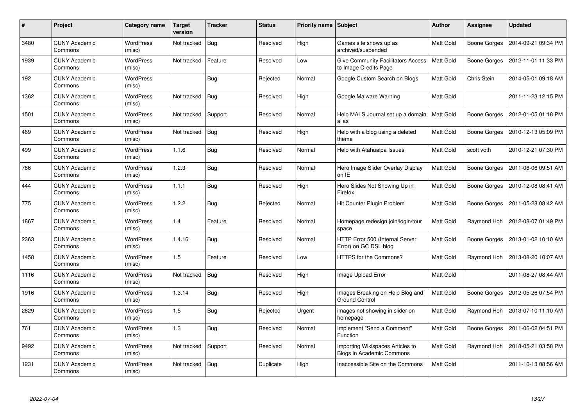| $\#$ | Project                         | Category name              | <b>Target</b><br>version | <b>Tracker</b> | <b>Status</b> | <b>Priority name</b> | Subject                                                              | <b>Author</b>    | Assignee     | <b>Updated</b>      |
|------|---------------------------------|----------------------------|--------------------------|----------------|---------------|----------------------|----------------------------------------------------------------------|------------------|--------------|---------------------|
| 3480 | <b>CUNY Academic</b><br>Commons | <b>WordPress</b><br>(misc) | Not tracked              | Bug            | Resolved      | High                 | Games site shows up as<br>archived/suspended                         | <b>Matt Gold</b> | Boone Gorges | 2014-09-21 09:34 PM |
| 1939 | <b>CUNY Academic</b><br>Commons | <b>WordPress</b><br>(misc) | Not tracked              | Feature        | Resolved      | Low                  | <b>Give Community Facilitators Access</b><br>to Image Credits Page   | <b>Matt Gold</b> | Boone Gorges | 2012-11-01 11:33 PM |
| 192  | <b>CUNY Academic</b><br>Commons | <b>WordPress</b><br>(misc) |                          | <b>Bug</b>     | Rejected      | Normal               | Google Custom Search on Blogs                                        | Matt Gold        | Chris Stein  | 2014-05-01 09:18 AM |
| 1362 | <b>CUNY Academic</b><br>Commons | <b>WordPress</b><br>(misc) | Not tracked              | Bug            | Resolved      | High                 | Google Malware Warning                                               | <b>Matt Gold</b> |              | 2011-11-23 12:15 PM |
| 1501 | <b>CUNY Academic</b><br>Commons | WordPress<br>(misc)        | Not tracked              | Support        | Resolved      | Normal               | Help MALS Journal set up a domain<br>alias                           | <b>Matt Gold</b> | Boone Gorges | 2012-01-05 01:18 PM |
| 469  | <b>CUNY Academic</b><br>Commons | <b>WordPress</b><br>(misc) | Not tracked              | <b>Bug</b>     | Resolved      | High                 | Help with a blog using a deleted<br>theme                            | Matt Gold        | Boone Gorges | 2010-12-13 05:09 PM |
| 499  | <b>CUNY Academic</b><br>Commons | WordPress<br>(misc)        | 1.1.6                    | Bug            | Resolved      | Normal               | Help with Atahualpa Issues                                           | Matt Gold        | scott voth   | 2010-12-21 07:30 PM |
| 786  | <b>CUNY Academic</b><br>Commons | WordPress<br>(misc)        | 1.2.3                    | Bug            | Resolved      | Normal               | Hero Image Slider Overlay Display<br>on IE                           | <b>Matt Gold</b> | Boone Gorges | 2011-06-06 09:51 AM |
| 444  | <b>CUNY Academic</b><br>Commons | <b>WordPress</b><br>(misc) | 1.1.1                    | <b>Bug</b>     | Resolved      | High                 | Hero Slides Not Showing Up in<br>Firefox                             | <b>Matt Gold</b> | Boone Gorges | 2010-12-08 08:41 AM |
| 775  | <b>CUNY Academic</b><br>Commons | <b>WordPress</b><br>(misc) | 1.2.2                    | <b>Bug</b>     | Rejected      | Normal               | Hit Counter Plugin Problem                                           | Matt Gold        | Boone Gorges | 2011-05-28 08:42 AM |
| 1867 | <b>CUNY Academic</b><br>Commons | <b>WordPress</b><br>(misc) | 1.4                      | Feature        | Resolved      | Normal               | Homepage redesign join/login/tour<br>space                           | <b>Matt Gold</b> | Raymond Hoh  | 2012-08-07 01:49 PM |
| 2363 | <b>CUNY Academic</b><br>Commons | <b>WordPress</b><br>(misc) | 1.4.16                   | Bug            | Resolved      | Normal               | HTTP Error 500 (Internal Server<br>Error) on GC DSL blog             | Matt Gold        | Boone Gorges | 2013-01-02 10:10 AM |
| 1458 | <b>CUNY Academic</b><br>Commons | <b>WordPress</b><br>(misc) | 1.5                      | Feature        | Resolved      | Low                  | HTTPS for the Commons?                                               | <b>Matt Gold</b> | Raymond Hoh  | 2013-08-20 10:07 AM |
| 1116 | <b>CUNY Academic</b><br>Commons | <b>WordPress</b><br>(misc) | Not tracked              | <b>Bug</b>     | Resolved      | High                 | Image Upload Error                                                   | Matt Gold        |              | 2011-08-27 08:44 AM |
| 1916 | <b>CUNY Academic</b><br>Commons | WordPress<br>(misc)        | 1.3.14                   | <b>Bug</b>     | Resolved      | High                 | Images Breaking on Help Blog and<br><b>Ground Control</b>            | <b>Matt Gold</b> | Boone Gorges | 2012-05-26 07:54 PM |
| 2629 | <b>CUNY Academic</b><br>Commons | WordPress<br>(misc)        | 1.5                      | <b>Bug</b>     | Rejected      | Urgent               | images not showing in slider on<br>homepage                          | Matt Gold        | Raymond Hoh  | 2013-07-10 11:10 AM |
| 761  | <b>CUNY Academic</b><br>Commons | <b>WordPress</b><br>(misc) | 1.3                      | <b>Bug</b>     | Resolved      | Normal               | Implement "Send a Comment"<br>Function                               | <b>Matt Gold</b> | Boone Gorges | 2011-06-02 04:51 PM |
| 9492 | <b>CUNY Academic</b><br>Commons | <b>WordPress</b><br>(misc) | Not tracked              | Support        | Resolved      | Normal               | Importing Wikispaces Articles to<br><b>Blogs in Academic Commons</b> | <b>Matt Gold</b> | Raymond Hoh  | 2018-05-21 03:58 PM |
| 1231 | <b>CUNY Academic</b><br>Commons | <b>WordPress</b><br>(misc) | Not tracked              | <b>Bug</b>     | Duplicate     | High                 | Inaccessible Site on the Commons                                     | <b>Matt Gold</b> |              | 2011-10-13 08:56 AM |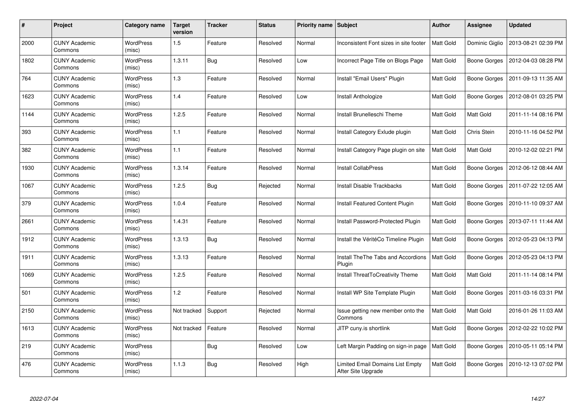| #    | Project                         | Category name              | <b>Target</b><br>version | <b>Tracker</b> | <b>Status</b> | <b>Priority name   Subject</b> |                                                        | Author           | Assignee            | <b>Updated</b>      |
|------|---------------------------------|----------------------------|--------------------------|----------------|---------------|--------------------------------|--------------------------------------------------------|------------------|---------------------|---------------------|
| 2000 | <b>CUNY Academic</b><br>Commons | <b>WordPress</b><br>(misc) | 1.5                      | Feature        | Resolved      | Normal                         | Inconsistent Font sizes in site footer                 | Matt Gold        | Dominic Giglio      | 2013-08-21 02:39 PM |
| 1802 | <b>CUNY Academic</b><br>Commons | <b>WordPress</b><br>(misc) | 1.3.11                   | <b>Bug</b>     | Resolved      | Low                            | Incorrect Page Title on Blogs Page                     | Matt Gold        | Boone Gorges        | 2012-04-03 08:28 PM |
| 764  | <b>CUNY Academic</b><br>Commons | <b>WordPress</b><br>(misc) | 1.3                      | Feature        | Resolved      | Normal                         | Install "Email Users" Plugin                           | Matt Gold        | <b>Boone Gorges</b> | 2011-09-13 11:35 AM |
| 1623 | <b>CUNY Academic</b><br>Commons | WordPress<br>(misc)        | 1.4                      | Feature        | Resolved      | Low                            | Install Anthologize                                    | Matt Gold        | Boone Gorges        | 2012-08-01 03:25 PM |
| 1144 | <b>CUNY Academic</b><br>Commons | <b>WordPress</b><br>(misc) | 1.2.5                    | Feature        | Resolved      | Normal                         | Install Brunelleschi Theme                             | <b>Matt Gold</b> | <b>Matt Gold</b>    | 2011-11-14 08:16 PM |
| 393  | <b>CUNY Academic</b><br>Commons | WordPress<br>(misc)        | 1.1                      | Feature        | Resolved      | Normal                         | Install Category Exlude plugin                         | Matt Gold        | Chris Stein         | 2010-11-16 04:52 PM |
| 382  | <b>CUNY Academic</b><br>Commons | <b>WordPress</b><br>(misc) | 1.1                      | Feature        | Resolved      | Normal                         | Install Category Page plugin on site                   | Matt Gold        | <b>Matt Gold</b>    | 2010-12-02 02:21 PM |
| 1930 | <b>CUNY Academic</b><br>Commons | WordPress<br>(misc)        | 1.3.14                   | Feature        | Resolved      | Normal                         | <b>Install CollabPress</b>                             | Matt Gold        | Boone Gorges        | 2012-06-12 08:44 AM |
| 1067 | <b>CUNY Academic</b><br>Commons | <b>WordPress</b><br>(misc) | 1.2.5                    | <b>Bug</b>     | Rejected      | Normal                         | <b>Install Disable Trackbacks</b>                      | <b>Matt Gold</b> | Boone Gorges        | 2011-07-22 12:05 AM |
| 379  | <b>CUNY Academic</b><br>Commons | <b>WordPress</b><br>(misc) | 1.0.4                    | Feature        | Resolved      | Normal                         | Install Featured Content Plugin                        | Matt Gold        | Boone Gorges        | 2010-11-10 09:37 AM |
| 2661 | <b>CUNY Academic</b><br>Commons | <b>WordPress</b><br>(misc) | 1.4.31                   | Feature        | Resolved      | Normal                         | Install Password-Protected Plugin                      | Matt Gold        | <b>Boone Gorges</b> | 2013-07-11 11:44 AM |
| 1912 | <b>CUNY Academic</b><br>Commons | <b>WordPress</b><br>(misc) | 1.3.13                   | <b>Bug</b>     | Resolved      | Normal                         | Install the VéritéCo Timeline Plugin                   | Matt Gold        | Boone Gorges        | 2012-05-23 04:13 PM |
| 1911 | <b>CUNY Academic</b><br>Commons | <b>WordPress</b><br>(misc) | 1.3.13                   | Feature        | Resolved      | Normal                         | Install The The Tabs and Accordions<br>Plugin          | Matt Gold        | Boone Gorges        | 2012-05-23 04:13 PM |
| 1069 | <b>CUNY Academic</b><br>Commons | WordPress<br>(misc)        | 1.2.5                    | Feature        | Resolved      | Normal                         | Install ThreatToCreativity Theme                       | Matt Gold        | Matt Gold           | 2011-11-14 08:14 PM |
| 501  | <b>CUNY Academic</b><br>Commons | WordPress<br>(misc)        | 1.2                      | Feature        | Resolved      | Normal                         | Install WP Site Template Plugin                        | Matt Gold        | Boone Gorges        | 2011-03-16 03:31 PM |
| 2150 | <b>CUNY Academic</b><br>Commons | WordPress<br>(misc)        | Not tracked              | Support        | Rejected      | Normal                         | Issue getting new member onto the<br>Commons           | Matt Gold        | Matt Gold           | 2016-01-26 11:03 AM |
| 1613 | <b>CUNY Academic</b><br>Commons | <b>WordPress</b><br>(misc) | Not tracked              | Feature        | Resolved      | Normal                         | JITP cuny.is shortlink                                 | Matt Gold        | Boone Gorges        | 2012-02-22 10:02 PM |
| 219  | <b>CUNY Academic</b><br>Commons | <b>WordPress</b><br>(misc) |                          | Bug            | Resolved      | Low                            | Left Margin Padding on sign-in page                    | <b>Matt Gold</b> | Boone Gorges        | 2010-05-11 05:14 PM |
| 476  | <b>CUNY Academic</b><br>Commons | WordPress<br>(misc)        | 1.1.3                    | <b>Bug</b>     | Resolved      | High                           | Limited Email Domains List Empty<br>After Site Upgrade | Matt Gold        | Boone Gorges        | 2010-12-13 07:02 PM |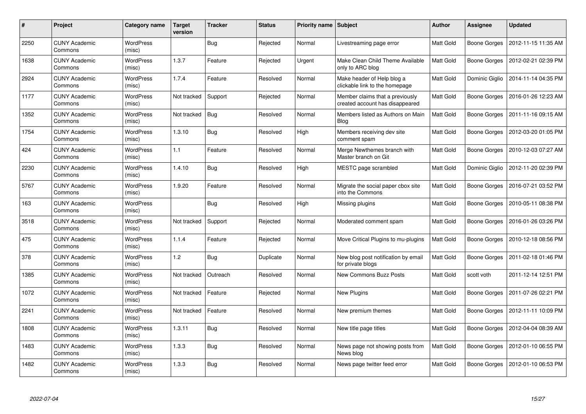| #    | Project                         | Category name              | <b>Target</b><br>version | <b>Tracker</b> | <b>Status</b> | <b>Priority name   Subject</b> |                                                                    | <b>Author</b>    | Assignee       | <b>Updated</b>      |
|------|---------------------------------|----------------------------|--------------------------|----------------|---------------|--------------------------------|--------------------------------------------------------------------|------------------|----------------|---------------------|
| 2250 | <b>CUNY Academic</b><br>Commons | <b>WordPress</b><br>(misc) |                          | <b>Bug</b>     | Rejected      | Normal                         | Livestreaming page error                                           | Matt Gold        | Boone Gorges   | 2012-11-15 11:35 AM |
| 1638 | <b>CUNY Academic</b><br>Commons | <b>WordPress</b><br>(misc) | 1.3.7                    | Feature        | Rejected      | Urgent                         | Make Clean Child Theme Available<br>only to ARC blog               | Matt Gold        | Boone Gorges   | 2012-02-21 02:39 PM |
| 2924 | <b>CUNY Academic</b><br>Commons | <b>WordPress</b><br>(misc) | 1.7.4                    | Feature        | Resolved      | Normal                         | Make header of Help blog a<br>clickable link to the homepage       | Matt Gold        | Dominic Giglio | 2014-11-14 04:35 PM |
| 1177 | <b>CUNY Academic</b><br>Commons | WordPress<br>(misc)        | Not tracked              | Support        | Rejected      | Normal                         | Member claims that a previously<br>created account has disappeared | Matt Gold        | Boone Gorges   | 2016-01-26 12:23 AM |
| 1352 | <b>CUNY Academic</b><br>Commons | <b>WordPress</b><br>(misc) | Not tracked              | <b>Bug</b>     | Resolved      | Normal                         | Members listed as Authors on Main<br><b>Blog</b>                   | Matt Gold        | Boone Gorges   | 2011-11-16 09:15 AM |
| 1754 | <b>CUNY Academic</b><br>Commons | <b>WordPress</b><br>(misc) | 1.3.10                   | <b>Bug</b>     | Resolved      | High                           | Members receiving dev site<br>comment spam                         | Matt Gold        | Boone Gorges   | 2012-03-20 01:05 PM |
| 424  | <b>CUNY Academic</b><br>Commons | <b>WordPress</b><br>(misc) | 1.1                      | Feature        | Resolved      | Normal                         | Merge Newthemes branch with<br>Master branch on Git                | Matt Gold        | Boone Gorges   | 2010-12-03 07:27 AM |
| 2230 | <b>CUNY Academic</b><br>Commons | WordPress<br>(misc)        | 1.4.10                   | <b>Bug</b>     | Resolved      | High                           | MESTC page scrambled                                               | Matt Gold        | Dominic Giglio | 2012-11-20 02:39 PM |
| 5767 | <b>CUNY Academic</b><br>Commons | <b>WordPress</b><br>(misc) | 1.9.20                   | Feature        | Resolved      | Normal                         | Migrate the social paper cbox site<br>into the Commons             | <b>Matt Gold</b> | Boone Gorges   | 2016-07-21 03:52 PM |
| 163  | <b>CUNY Academic</b><br>Commons | <b>WordPress</b><br>(misc) |                          | <b>Bug</b>     | Resolved      | High                           | Missing plugins                                                    | Matt Gold        | Boone Gorges   | 2010-05-11 08:38 PM |
| 3518 | <b>CUNY Academic</b><br>Commons | <b>WordPress</b><br>(misc) | Not tracked              | Support        | Rejected      | Normal                         | Moderated comment spam                                             | Matt Gold        | Boone Gorges   | 2016-01-26 03:26 PM |
| 475  | <b>CUNY Academic</b><br>Commons | WordPress<br>(misc)        | 1.1.4                    | Feature        | Rejected      | Normal                         | Move Critical Plugins to mu-plugins                                | Matt Gold        | Boone Gorges   | 2010-12-18 08:56 PM |
| 378  | <b>CUNY Academic</b><br>Commons | <b>WordPress</b><br>(misc) | 1.2                      | <b>Bug</b>     | Duplicate     | Normal                         | New blog post notification by email<br>for private blogs           | Matt Gold        | Boone Gorges   | 2011-02-18 01:46 PM |
| 1385 | <b>CUNY Academic</b><br>Commons | WordPress<br>(misc)        | Not tracked              | Outreach       | Resolved      | Normal                         | <b>New Commons Buzz Posts</b>                                      | Matt Gold        | scott voth     | 2011-12-14 12:51 PM |
| 1072 | <b>CUNY Academic</b><br>Commons | <b>WordPress</b><br>(misc) | Not tracked              | Feature        | Rejected      | Normal                         | New Plugins                                                        | Matt Gold        | Boone Gorges   | 2011-07-26 02:21 PM |
| 2241 | <b>CUNY Academic</b><br>Commons | WordPress<br>(misc)        | Not tracked              | Feature        | Resolved      | Normal                         | New premium themes                                                 | Matt Gold        | Boone Gorges   | 2012-11-11 10:09 PM |
| 1808 | <b>CUNY Academic</b><br>Commons | WordPress<br>(misc)        | 1.3.11                   | <b>Bug</b>     | Resolved      | Normal                         | New title page titles                                              | Matt Gold        | Boone Gorges   | 2012-04-04 08:39 AM |
| 1483 | <b>CUNY Academic</b><br>Commons | WordPress<br>(misc)        | 1.3.3                    | <b>Bug</b>     | Resolved      | Normal                         | News page not showing posts from<br>News blog                      | Matt Gold        | Boone Gorges   | 2012-01-10 06:55 PM |
| 1482 | CUNY Academic<br>Commons        | <b>WordPress</b><br>(misc) | 1.3.3                    | Bug            | Resolved      | Normal                         | News page twitter feed error                                       | Matt Gold        | Boone Gorges   | 2012-01-10 06:53 PM |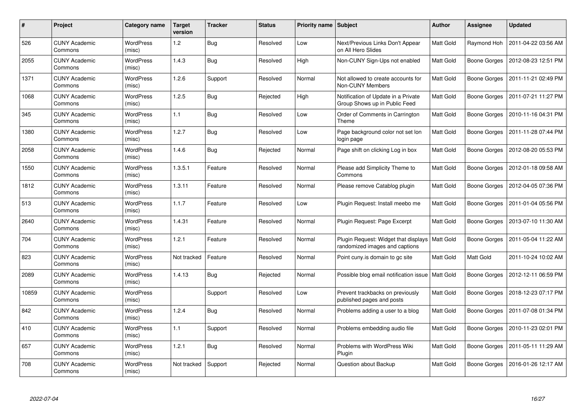| #     | Project                         | Category name              | <b>Target</b><br>version | <b>Tracker</b> | <b>Status</b> | Priority name Subject |                                                                        | <b>Author</b>    | Assignee            | <b>Updated</b>      |
|-------|---------------------------------|----------------------------|--------------------------|----------------|---------------|-----------------------|------------------------------------------------------------------------|------------------|---------------------|---------------------|
| 526   | <b>CUNY Academic</b><br>Commons | <b>WordPress</b><br>(misc) | $1.2$                    | <b>Bug</b>     | Resolved      | Low                   | Next/Previous Links Don't Appear<br>on All Hero Slides                 | Matt Gold        | Raymond Hoh         | 2011-04-22 03:56 AM |
| 2055  | <b>CUNY Academic</b><br>Commons | <b>WordPress</b><br>(misc) | 1.4.3                    | <b>Bug</b>     | Resolved      | High                  | Non-CUNY Sign-Ups not enabled                                          | Matt Gold        | Boone Gorges        | 2012-08-23 12:51 PM |
| 1371  | <b>CUNY Academic</b><br>Commons | <b>WordPress</b><br>(misc) | 1.2.6                    | Support        | Resolved      | Normal                | Not allowed to create accounts for<br>Non-CUNY Members                 | Matt Gold        | Boone Gorges        | 2011-11-21 02:49 PM |
| 1068  | <b>CUNY Academic</b><br>Commons | <b>WordPress</b><br>(misc) | 1.2.5                    | Bug            | Rejected      | High                  | Notification of Update in a Private<br>Group Shows up in Public Feed   | Matt Gold        | Boone Gorges        | 2011-07-21 11:27 PM |
| 345   | <b>CUNY Academic</b><br>Commons | WordPress<br>(misc)        | 1.1                      | <b>Bug</b>     | Resolved      | Low                   | Order of Comments in Carrington<br>Theme                               | Matt Gold        | Boone Gorges        | 2010-11-16 04:31 PM |
| 1380  | <b>CUNY Academic</b><br>Commons | WordPress<br>(misc)        | 1.2.7                    | <b>Bug</b>     | Resolved      | Low                   | Page background color not set lon<br>login page                        | Matt Gold        | Boone Gorges        | 2011-11-28 07:44 PM |
| 2058  | <b>CUNY Academic</b><br>Commons | <b>WordPress</b><br>(misc) | 1.4.6                    | <b>Bug</b>     | Rejected      | Normal                | Page shift on clicking Log in box                                      | <b>Matt Gold</b> | Boone Gorges        | 2012-08-20 05:53 PM |
| 1550  | <b>CUNY Academic</b><br>Commons | <b>WordPress</b><br>(misc) | 1.3.5.1                  | Feature        | Resolved      | Normal                | Please add Simplicity Theme to<br>Commons                              | Matt Gold        | <b>Boone Gorges</b> | 2012-01-18 09:58 AM |
| 1812  | <b>CUNY Academic</b><br>Commons | <b>WordPress</b><br>(misc) | 1.3.11                   | Feature        | Resolved      | Normal                | Please remove Catablog plugin                                          | Matt Gold        | Boone Gorges        | 2012-04-05 07:36 PM |
| 513   | <b>CUNY Academic</b><br>Commons | <b>WordPress</b><br>(misc) | 1.1.7                    | Feature        | Resolved      | Low                   | Plugin Request: Install meebo me                                       | Matt Gold        | Boone Gorges        | 2011-01-04 05:56 PM |
| 2640  | <b>CUNY Academic</b><br>Commons | <b>WordPress</b><br>(misc) | 1.4.31                   | Feature        | Resolved      | Normal                | Plugin Request: Page Excerpt                                           | Matt Gold        | Boone Gorges        | 2013-07-10 11:30 AM |
| 704   | <b>CUNY Academic</b><br>Commons | <b>WordPress</b><br>(misc) | 1.2.1                    | Feature        | Resolved      | Normal                | Plugin Request: Widget that displays<br>randomized images and captions | Matt Gold        | Boone Gorges        | 2011-05-04 11:22 AM |
| 823   | <b>CUNY Academic</b><br>Commons | <b>WordPress</b><br>(misc) | Not tracked              | Feature        | Resolved      | Normal                | Point cuny is domain to go site                                        | Matt Gold        | <b>Matt Gold</b>    | 2011-10-24 10:02 AM |
| 2089  | <b>CUNY Academic</b><br>Commons | <b>WordPress</b><br>(misc) | 1.4.13                   | <b>Bug</b>     | Rejected      | Normal                | Possible blog email notification issue   Matt Gold                     |                  | Boone Gorges        | 2012-12-11 06:59 PM |
| 10859 | <b>CUNY Academic</b><br>Commons | WordPress<br>(misc)        |                          | Support        | Resolved      | Low                   | Prevent trackbacks on previously<br>published pages and posts          | Matt Gold        | Boone Gorges        | 2018-12-23 07:17 PM |
| 842   | <b>CUNY Academic</b><br>Commons | WordPress<br>(misc)        | 1.2.4                    | <b>Bug</b>     | Resolved      | Normal                | Problems adding a user to a blog                                       | Matt Gold        | Boone Gorges        | 2011-07-08 01:34 PM |
| 410   | <b>CUNY Academic</b><br>Commons | WordPress<br>(misc)        | 1.1                      | Support        | Resolved      | Normal                | Problems embedding audio file                                          | Matt Gold        | Boone Gorges        | 2010-11-23 02:01 PM |
| 657   | <b>CUNY Academic</b><br>Commons | WordPress<br>(misc)        | 1.2.1                    | Bug            | Resolved      | Normal                | Problems with WordPress Wiki<br>Plugin                                 | Matt Gold        | Boone Gorges        | 2011-05-11 11:29 AM |
| 708   | CUNY Academic<br>Commons        | WordPress<br>(misc)        | Not tracked              | Support        | Rejected      | Normal                | Question about Backup                                                  | Matt Gold        | Boone Gorges        | 2016-01-26 12:17 AM |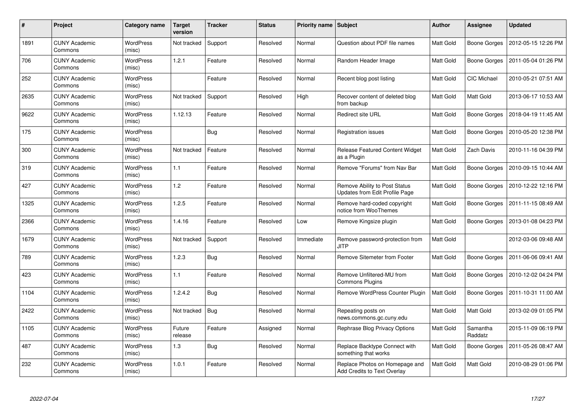| #    | Project                         | Category name              | <b>Target</b><br>version | <b>Tracker</b> | <b>Status</b> | <b>Priority name   Subject</b> |                                                                 | Author           | Assignee            | <b>Updated</b>      |
|------|---------------------------------|----------------------------|--------------------------|----------------|---------------|--------------------------------|-----------------------------------------------------------------|------------------|---------------------|---------------------|
| 1891 | <b>CUNY Academic</b><br>Commons | <b>WordPress</b><br>(misc) | Not tracked              | Support        | Resolved      | Normal                         | Question about PDF file names                                   | Matt Gold        | Boone Gorges        | 2012-05-15 12:26 PM |
| 706  | <b>CUNY Academic</b><br>Commons | <b>WordPress</b><br>(misc) | 1.2.1                    | Feature        | Resolved      | Normal                         | Random Header Image                                             | <b>Matt Gold</b> | Boone Gorges        | 2011-05-04 01:26 PM |
| 252  | <b>CUNY Academic</b><br>Commons | <b>WordPress</b><br>(misc) |                          | Feature        | Resolved      | Normal                         | Recent blog post listing                                        | Matt Gold        | CIC Michael         | 2010-05-21 07:51 AM |
| 2635 | <b>CUNY Academic</b><br>Commons | WordPress<br>(misc)        | Not tracked              | Support        | Resolved      | High                           | Recover content of deleted blog<br>from backup                  | Matt Gold        | Matt Gold           | 2013-06-17 10:53 AM |
| 9622 | <b>CUNY Academic</b><br>Commons | <b>WordPress</b><br>(misc) | 1.12.13                  | Feature        | Resolved      | Normal                         | <b>Redirect site URL</b>                                        | Matt Gold        | Boone Gorges        | 2018-04-19 11:45 AM |
| 175  | <b>CUNY Academic</b><br>Commons | WordPress<br>(misc)        |                          | <b>Bug</b>     | Resolved      | Normal                         | Registration issues                                             | Matt Gold        | Boone Gorges        | 2010-05-20 12:38 PM |
| 300  | <b>CUNY Academic</b><br>Commons | WordPress<br>(misc)        | Not tracked              | Feature        | Resolved      | Normal                         | Release Featured Content Widget<br>as a Plugin                  | Matt Gold        | Zach Davis          | 2010-11-16 04:39 PM |
| 319  | <b>CUNY Academic</b><br>Commons | <b>WordPress</b><br>(misc) | 1.1                      | Feature        | Resolved      | Normal                         | Remove "Forums" from Nav Bar                                    | Matt Gold        | Boone Gorges        | 2010-09-15 10:44 AM |
| 427  | <b>CUNY Academic</b><br>Commons | WordPress<br>(misc)        | 1.2                      | Feature        | Resolved      | Normal                         | Remove Ability to Post Status<br>Updates from Edit Profile Page | <b>Matt Gold</b> | Boone Gorges        | 2010-12-22 12:16 PM |
| 1325 | <b>CUNY Academic</b><br>Commons | <b>WordPress</b><br>(misc) | 1.2.5                    | Feature        | Resolved      | Normal                         | Remove hard-coded copyright<br>notice from WooThemes            | Matt Gold        | Boone Gorges        | 2011-11-15 08:49 AM |
| 2366 | <b>CUNY Academic</b><br>Commons | <b>WordPress</b><br>(misc) | 1.4.16                   | Feature        | Resolved      | Low                            | Remove Kingsize plugin                                          | Matt Gold        | Boone Gorges        | 2013-01-08 04:23 PM |
| 1679 | <b>CUNY Academic</b><br>Commons | <b>WordPress</b><br>(misc) | Not tracked              | Support        | Resolved      | Immediate                      | Remove password-protection from<br><b>JITP</b>                  | Matt Gold        |                     | 2012-03-06 09:48 AM |
| 789  | <b>CUNY Academic</b><br>Commons | <b>WordPress</b><br>(misc) | 1.2.3                    | <b>Bug</b>     | Resolved      | Normal                         | Remove Sitemeter from Footer                                    | Matt Gold        | Boone Gorges        | 2011-06-06 09:41 AM |
| 423  | <b>CUNY Academic</b><br>Commons | <b>WordPress</b><br>(misc) | 1.1                      | Feature        | Resolved      | Normal                         | Remove Unfiltered-MU from<br>Commons Plugins                    | Matt Gold        | Boone Gorges        | 2010-12-02 04:24 PM |
| 1104 | <b>CUNY Academic</b><br>Commons | <b>WordPress</b><br>(misc) | 1.2.4.2                  | Bug            | Resolved      | Normal                         | Remove WordPress Counter Plugin                                 | Matt Gold        | Boone Gorges        | 2011-10-31 11:00 AM |
| 2422 | <b>CUNY Academic</b><br>Commons | WordPress<br>(misc)        | Not tracked              | <b>Bug</b>     | Resolved      | Normal                         | Repeating posts on<br>news.commons.gc.cuny.edu                  | Matt Gold        | Matt Gold           | 2013-02-09 01:05 PM |
| 1105 | <b>CUNY Academic</b><br>Commons | <b>WordPress</b><br>(misc) | Future<br>release        | Feature        | Assigned      | Normal                         | Rephrase Blog Privacy Options                                   | Matt Gold        | Samantha<br>Raddatz | 2015-11-09 06:19 PM |
| 487  | <b>CUNY Academic</b><br>Commons | <b>WordPress</b><br>(misc) | 1.3                      | <b>Bug</b>     | Resolved      | Normal                         | Replace Backtype Connect with<br>something that works           | Matt Gold        | Boone Gorges        | 2011-05-26 08:47 AM |
| 232  | <b>CUNY Academic</b><br>Commons | WordPress<br>(misc)        | 1.0.1                    | Feature        | Resolved      | Normal                         | Replace Photos on Homepage and<br>Add Credits to Text Overlay   | Matt Gold        | Matt Gold           | 2010-08-29 01:06 PM |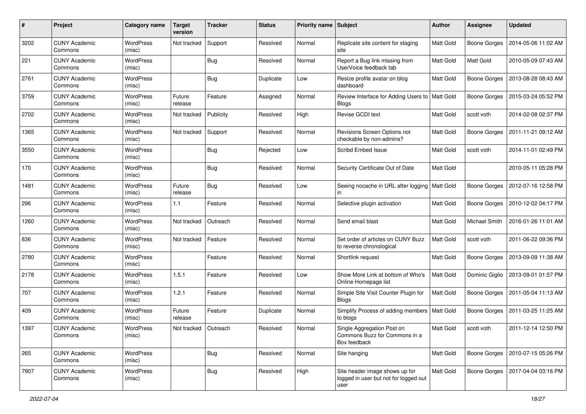| #    | Project                         | Category name              | <b>Target</b><br>version | <b>Tracker</b> | <b>Status</b> | <b>Priority name Subject</b> |                                                                                 | <b>Author</b>    | <b>Assignee</b>     | <b>Updated</b>      |
|------|---------------------------------|----------------------------|--------------------------|----------------|---------------|------------------------------|---------------------------------------------------------------------------------|------------------|---------------------|---------------------|
| 3202 | <b>CUNY Academic</b><br>Commons | WordPress<br>(misc)        | Not tracked              | Support        | Resolved      | Normal                       | Replicate site content for staging<br>site                                      | Matt Gold        | <b>Boone Gorges</b> | 2014-05-06 11:02 AM |
| 221  | <b>CUNY Academic</b><br>Commons | WordPress<br>(misc)        |                          | Bug            | Resolved      | Normal                       | Report a Bug link missing from<br>UserVoice feedback tab                        | Matt Gold        | Matt Gold           | 2010-05-09 07:43 AM |
| 2761 | <b>CUNY Academic</b><br>Commons | <b>WordPress</b><br>(misc) |                          | Bug            | Duplicate     | Low                          | Resize profile avatar on blog<br>dashboard                                      | Matt Gold        | <b>Boone Gorges</b> | 2013-08-28 08:43 AM |
| 3759 | <b>CUNY Academic</b><br>Commons | <b>WordPress</b><br>(misc) | Future<br>release        | Feature        | Assigned      | Normal                       | Review Interface for Adding Users to   Matt Gold<br><b>Blogs</b>                |                  | <b>Boone Gorges</b> | 2015-03-24 05:52 PM |
| 2702 | <b>CUNY Academic</b><br>Commons | WordPress<br>(misc)        | Not tracked              | Publicity      | Resolved      | High                         | Revise GCDI text                                                                | <b>Matt Gold</b> | scott voth          | 2014-02-08 02:37 PM |
| 1365 | <b>CUNY Academic</b><br>Commons | WordPress<br>(misc)        | Not tracked              | Support        | Resolved      | Normal                       | Revisions Screen Options not<br>checkable by non-admins?                        | Matt Gold        | Boone Gorges        | 2011-11-21 09:12 AM |
| 3550 | <b>CUNY Academic</b><br>Commons | <b>WordPress</b><br>(misc) |                          | Bug            | Rejected      | Low                          | Scribd Embed Issue                                                              | <b>Matt Gold</b> | scott voth          | 2014-11-01 02:49 PM |
| 170  | <b>CUNY Academic</b><br>Commons | WordPress<br>(misc)        |                          | Bug            | Resolved      | Normal                       | Security Certificate Out of Date                                                | <b>Matt Gold</b> |                     | 2010-05-11 05:28 PM |
| 1481 | <b>CUNY Academic</b><br>Commons | WordPress<br>(misc)        | Future<br>release        | <b>Bug</b>     | Resolved      | Low                          | Seeing nocache in URL after logging   Matt Gold<br>in                           |                  | <b>Boone Gorges</b> | 2012-07-16 12:58 PM |
| 296  | <b>CUNY Academic</b><br>Commons | <b>WordPress</b><br>(misc) | 1.1                      | Feature        | Resolved      | Normal                       | Selective plugin activation                                                     | Matt Gold        | Boone Gorges        | 2010-12-02 04:17 PM |
| 1260 | <b>CUNY Academic</b><br>Commons | <b>WordPress</b><br>(misc) | Not tracked              | Outreach       | Resolved      | Normal                       | Send email blast                                                                | Matt Gold        | Michael Smith       | 2016-01-26 11:01 AM |
| 836  | <b>CUNY Academic</b><br>Commons | WordPress<br>(misc)        | Not tracked              | Feature        | Resolved      | Normal                       | Set order of articles on CUNY Buzz<br>to reverse chronological                  | Matt Gold        | scott voth          | 2011-06-22 09:36 PM |
| 2780 | <b>CUNY Academic</b><br>Commons | WordPress<br>(misc)        |                          | Feature        | Resolved      | Normal                       | Shortlink request                                                               | <b>Matt Gold</b> | Boone Gorges        | 2013-09-09 11:38 AM |
| 2178 | <b>CUNY Academic</b><br>Commons | <b>WordPress</b><br>(misc) | 1.5.1                    | Feature        | Resolved      | Low                          | Show More Link at bottom of Who's<br>Online Homepage list                       | Matt Gold        | Dominic Giglio      | 2013-09-01 01:57 PM |
| 707  | <b>CUNY Academic</b><br>Commons | <b>WordPress</b><br>(misc) | 1.2.1                    | Feature        | Resolved      | Normal                       | Simple Site Visit Counter Plugin for<br><b>Blogs</b>                            | <b>Matt Gold</b> | Boone Gorges        | 2011-05-04 11:13 AM |
| 409  | <b>CUNY Academic</b><br>Commons | <b>WordPress</b><br>(misc) | Future<br>release        | Feature        | Duplicate     | Normal                       | Simplify Process of adding members   Matt Gold<br>to blogs                      |                  | <b>Boone Gorges</b> | 2011-03-25 11:25 AM |
| 1397 | <b>CUNY Academic</b><br>Commons | WordPress<br>(misc)        | Not tracked              | Outreach       | Resolved      | Normal                       | Single Aggregation Post on<br>Commons Buzz for Commons in a<br>Box feedback     | Matt Gold        | scott voth          | 2011-12-14 12:50 PM |
| 265  | <b>CUNY Academic</b><br>Commons | WordPress<br>(misc)        |                          | Bug            | Resolved      | Normal                       | Site hanging                                                                    | Matt Gold        | Boone Gorges        | 2010-07-15 05:26 PM |
| 7907 | <b>CUNY Academic</b><br>Commons | WordPress<br>(misc)        |                          | Bug            | Resolved      | High                         | Site header image shows up for<br>logged in user but not for logged out<br>user | Matt Gold        | Boone Gorges        | 2017-04-04 03:16 PM |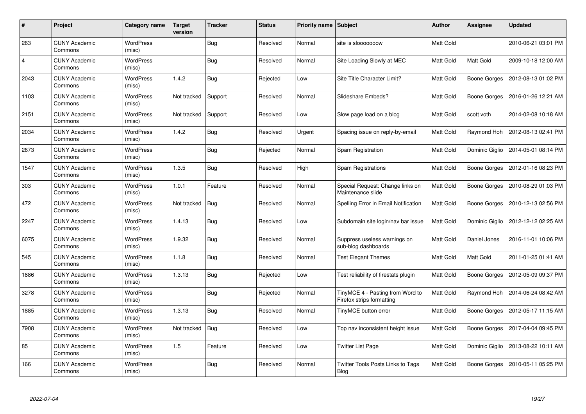| #              | Project                         | Category name              | <b>Target</b><br>version | <b>Tracker</b> | <b>Status</b> | <b>Priority name   Subject</b> |                                                               | Author           | Assignee         | <b>Updated</b>      |
|----------------|---------------------------------|----------------------------|--------------------------|----------------|---------------|--------------------------------|---------------------------------------------------------------|------------------|------------------|---------------------|
| 263            | <b>CUNY Academic</b><br>Commons | <b>WordPress</b><br>(misc) |                          | <b>Bug</b>     | Resolved      | Normal                         | site is slooooooow                                            | Matt Gold        |                  | 2010-06-21 03:01 PM |
| $\overline{4}$ | <b>CUNY Academic</b><br>Commons | <b>WordPress</b><br>(misc) |                          | <b>Bug</b>     | Resolved      | Normal                         | Site Loading Slowly at MEC                                    | Matt Gold        | Matt Gold        | 2009-10-18 12:00 AM |
| 2043           | <b>CUNY Academic</b><br>Commons | <b>WordPress</b><br>(misc) | 1.4.2                    | <b>Bug</b>     | Rejected      | Low                            | Site Title Character Limit?                                   | Matt Gold        | Boone Gorges     | 2012-08-13 01:02 PM |
| 1103           | <b>CUNY Academic</b><br>Commons | <b>WordPress</b><br>(misc) | Not tracked              | Support        | Resolved      | Normal                         | Slideshare Embeds?                                            | Matt Gold        | Boone Gorges     | 2016-01-26 12:21 AM |
| 2151           | <b>CUNY Academic</b><br>Commons | <b>WordPress</b><br>(misc) | Not tracked              | Support        | Resolved      | Low                            | Slow page load on a blog                                      | Matt Gold        | scott voth       | 2014-02-08 10:18 AM |
| 2034           | <b>CUNY Academic</b><br>Commons | <b>WordPress</b><br>(misc) | 1.4.2                    | Bug            | Resolved      | Urgent                         | Spacing issue on reply-by-email                               | Matt Gold        | Raymond Hoh      | 2012-08-13 02:41 PM |
| 2673           | <b>CUNY Academic</b><br>Commons | <b>WordPress</b><br>(misc) |                          | <b>Bug</b>     | Rejected      | Normal                         | Spam Registration                                             | <b>Matt Gold</b> | Dominic Giglio   | 2014-05-01 08:14 PM |
| 1547           | <b>CUNY Academic</b><br>Commons | WordPress<br>(misc)        | 1.3.5                    | <b>Bug</b>     | Resolved      | High                           | <b>Spam Registrations</b>                                     | Matt Gold        | Boone Gorges     | 2012-01-16 08:23 PM |
| 303            | <b>CUNY Academic</b><br>Commons | WordPress<br>(misc)        | 1.0.1                    | Feature        | Resolved      | Normal                         | Special Request: Change links on<br>Maintenance slide         | Matt Gold        | Boone Gorges     | 2010-08-29 01:03 PM |
| 472            | <b>CUNY Academic</b><br>Commons | <b>WordPress</b><br>(misc) | Not tracked              | <b>Bug</b>     | Resolved      | Normal                         | Spelling Error in Email Notification                          | Matt Gold        | Boone Gorges     | 2010-12-13 02:56 PM |
| 2247           | <b>CUNY Academic</b><br>Commons | <b>WordPress</b><br>(misc) | 1.4.13                   | <b>Bug</b>     | Resolved      | Low                            | Subdomain site login/nav bar issue                            | Matt Gold        | Dominic Giglio   | 2012-12-12 02:25 AM |
| 6075           | <b>CUNY Academic</b><br>Commons | <b>WordPress</b><br>(misc) | 1.9.32                   | <b>Bug</b>     | Resolved      | Normal                         | Suppress useless warnings on<br>sub-blog dashboards           | Matt Gold        | Daniel Jones     | 2016-11-01 10:06 PM |
| 545            | <b>CUNY Academic</b><br>Commons | <b>WordPress</b><br>(misc) | 1.1.8                    | Bug            | Resolved      | Normal                         | <b>Test Elegant Themes</b>                                    | Matt Gold        | <b>Matt Gold</b> | 2011-01-25 01:41 AM |
| 1886           | <b>CUNY Academic</b><br>Commons | <b>WordPress</b><br>(misc) | 1.3.13                   | <b>Bug</b>     | Rejected      | Low                            | Test reliability of firestats plugin                          | Matt Gold        | Boone Gorges     | 2012-05-09 09:37 PM |
| 3278           | <b>CUNY Academic</b><br>Commons | WordPress<br>(misc)        |                          | <b>Bug</b>     | Rejected      | Normal                         | TinyMCE 4 - Pasting from Word to<br>Firefox strips formatting | Matt Gold        | Raymond Hoh      | 2014-06-24 08:42 AM |
| 1885           | <b>CUNY Academic</b><br>Commons | <b>WordPress</b><br>(misc) | 1.3.13                   | <b>Bug</b>     | Resolved      | Normal                         | TinyMCE button error                                          | Matt Gold        | Boone Gorges     | 2012-05-17 11:15 AM |
| 7908           | <b>CUNY Academic</b><br>Commons | WordPress<br>(misc)        | Not tracked              | <b>Bug</b>     | Resolved      | Low                            | Top nav inconsistent height issue                             | Matt Gold        | Boone Gorges     | 2017-04-04 09:45 PM |
| 85             | <b>CUNY Academic</b><br>Commons | <b>WordPress</b><br>(misc) | 1.5                      | Feature        | Resolved      | Low                            | <b>Twitter List Page</b>                                      | Matt Gold        | Dominic Giglio   | 2013-08-22 10:11 AM |
| 166            | CUNY Academic<br>Commons        | <b>WordPress</b><br>(misc) |                          | <b>Bug</b>     | Resolved      | Normal                         | Twitter Tools Posts Links to Tags<br>Blog                     | Matt Gold        | Boone Gorges     | 2010-05-11 05:25 PM |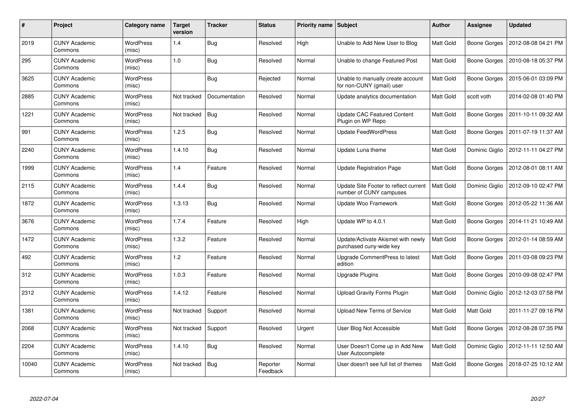| #     | Project                         | Category name              | <b>Target</b><br>version | <b>Tracker</b> | <b>Status</b>        | <b>Priority name   Subject</b> |                                                                  | Author           | Assignee            | <b>Updated</b>      |
|-------|---------------------------------|----------------------------|--------------------------|----------------|----------------------|--------------------------------|------------------------------------------------------------------|------------------|---------------------|---------------------|
| 2019  | <b>CUNY Academic</b><br>Commons | <b>WordPress</b><br>(misc) | 1.4                      | <b>Bug</b>     | Resolved             | High                           | Unable to Add New User to Blog                                   | <b>Matt Gold</b> | Boone Gorges        | 2012-08-08 04:21 PM |
| 295   | <b>CUNY Academic</b><br>Commons | WordPress<br>(misc)        | 1.0                      | <b>Bug</b>     | Resolved             | Normal                         | Unable to change Featured Post                                   | Matt Gold        | Boone Gorges        | 2010-08-18 05:37 PM |
| 3625  | <b>CUNY Academic</b><br>Commons | <b>WordPress</b><br>(misc) |                          | <b>Bug</b>     | Rejected             | Normal                         | Unable to manually create account<br>for non-CUNY (gmail) user   | Matt Gold        | Boone Gorges        | 2015-06-01 03:09 PM |
| 2885  | <b>CUNY Academic</b><br>Commons | <b>WordPress</b><br>(misc) | Not tracked              | Documentation  | Resolved             | Normal                         | Update analytics documentation                                   | Matt Gold        | scott voth          | 2014-02-08 01:40 PM |
| 1221  | <b>CUNY Academic</b><br>Commons | <b>WordPress</b><br>(misc) | Not tracked              | Bug            | Resolved             | Normal                         | <b>Update CAC Featured Content</b><br>Plugin on WP Repo          | <b>Matt Gold</b> | Boone Gorges        | 2011-10-11 09:32 AM |
| 991   | <b>CUNY Academic</b><br>Commons | <b>WordPress</b><br>(misc) | 1.2.5                    | <b>Bug</b>     | Resolved             | Normal                         | <b>Update FeedWordPress</b>                                      | Matt Gold        | <b>Boone Gorges</b> | 2011-07-19 11:37 AM |
| 2240  | <b>CUNY Academic</b><br>Commons | <b>WordPress</b><br>(misc) | 1.4.10                   | Bug            | Resolved             | Normal                         | Update Luna theme                                                | <b>Matt Gold</b> | Dominic Giglio      | 2012-11-11 04:27 PM |
| 1999  | <b>CUNY Academic</b><br>Commons | WordPress<br>(misc)        | 1.4                      | Feature        | Resolved             | Normal                         | <b>Update Registration Page</b>                                  | Matt Gold        | Boone Gorges        | 2012-08-01 08:11 AM |
| 2115  | <b>CUNY Academic</b><br>Commons | <b>WordPress</b><br>(misc) | 1.4.4                    | Bug            | Resolved             | Normal                         | Update Site Footer to reflect current<br>number of CUNY campuses | <b>Matt Gold</b> | Dominic Giglio      | 2012-09-10 02:47 PM |
| 1872  | <b>CUNY Academic</b><br>Commons | <b>WordPress</b><br>(misc) | 1.3.13                   | <b>Bug</b>     | Resolved             | Normal                         | Update Woo Framework                                             | Matt Gold        | <b>Boone Gorges</b> | 2012-05-22 11:36 AM |
| 3676  | <b>CUNY Academic</b><br>Commons | <b>WordPress</b><br>(misc) | 1.7.4                    | Feature        | Resolved             | High                           | Update WP to 4.0.1                                               | Matt Gold        | Boone Gorges        | 2014-11-21 10:49 AM |
| 1472  | <b>CUNY Academic</b><br>Commons | <b>WordPress</b><br>(misc) | 1.3.2                    | Feature        | Resolved             | Normal                         | Update/Activate Akismet with newly<br>purchased cuny-wide key    | Matt Gold        | Boone Gorges        | 2012-01-14 08:59 AM |
| 492   | <b>CUNY Academic</b><br>Commons | <b>WordPress</b><br>(misc) | 1.2                      | Feature        | Resolved             | Normal                         | Upgrade CommentPress to latest<br>edition                        | Matt Gold        | Boone Gorges        | 2011-03-08 09:23 PM |
| 312   | <b>CUNY Academic</b><br>Commons | WordPress<br>(misc)        | 1.0.3                    | Feature        | Resolved             | Normal                         | <b>Upgrade Plugins</b>                                           | Matt Gold        | Boone Gorges        | 2010-09-08 02:47 PM |
| 2312  | <b>CUNY Academic</b><br>Commons | WordPress<br>(misc)        | 1.4.12                   | Feature        | Resolved             | Normal                         | <b>Upload Gravity Forms Plugin</b>                               | Matt Gold        | Dominic Giglio      | 2012-12-03 07:58 PM |
| 1381  | <b>CUNY Academic</b><br>Commons | WordPress<br>(misc)        | Not tracked              | Support        | Resolved             | Normal                         | <b>Upload New Terms of Service</b>                               | Matt Gold        | <b>Matt Gold</b>    | 2011-11-27 09:16 PM |
| 2068  | <b>CUNY Academic</b><br>Commons | WordPress<br>(misc)        | Not tracked              | Support        | Resolved             | Urgent                         | User Blog Not Accessible                                         | Matt Gold        | Boone Gorges        | 2012-08-28 07:35 PM |
| 2204  | <b>CUNY Academic</b><br>Commons | WordPress<br>(misc)        | 1.4.10                   | <b>Bug</b>     | Resolved             | Normal                         | User Doesn't Come up in Add New<br>User Autocomplete             | Matt Gold        | Dominic Giglio      | 2012-11-11 12:50 AM |
| 10040 | CUNY Academic<br>Commons        | <b>WordPress</b><br>(misc) | Not tracked              | Bug            | Reporter<br>Feedback | Normal                         | User doesn't see full list of themes                             | Matt Gold        | Boone Gorges        | 2018-07-25 10:12 AM |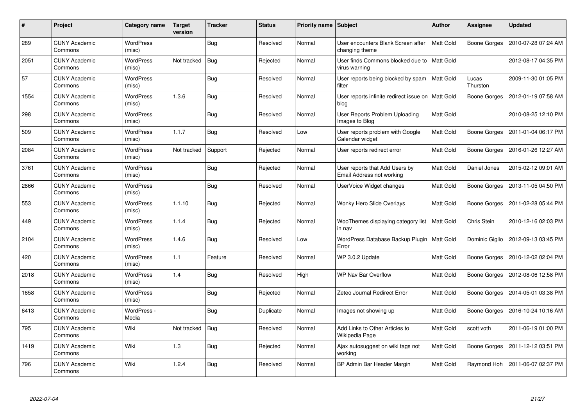| #    | <b>Project</b>                  | Category name              | <b>Target</b><br>version | <b>Tracker</b> | <b>Status</b> | Priority name Subject |                                                                | Author           | Assignee            | <b>Updated</b>      |
|------|---------------------------------|----------------------------|--------------------------|----------------|---------------|-----------------------|----------------------------------------------------------------|------------------|---------------------|---------------------|
| 289  | <b>CUNY Academic</b><br>Commons | <b>WordPress</b><br>(misc) |                          | <b>Bug</b>     | Resolved      | Normal                | User encounters Blank Screen after<br>changing theme           | <b>Matt Gold</b> | <b>Boone Gorges</b> | 2010-07-28 07:24 AM |
| 2051 | <b>CUNY Academic</b><br>Commons | <b>WordPress</b><br>(misc) | Not tracked              | Bug            | Rejected      | Normal                | User finds Commons blocked due to   Matt Gold<br>virus warning |                  |                     | 2012-08-17 04:35 PM |
| 57   | <b>CUNY Academic</b><br>Commons | <b>WordPress</b><br>(misc) |                          | <b>Bug</b>     | Resolved      | Normal                | User reports being blocked by spam<br>filter                   | <b>Matt Gold</b> | Lucas<br>Thurston   | 2009-11-30 01:05 PM |
| 1554 | <b>CUNY Academic</b><br>Commons | <b>WordPress</b><br>(misc) | 1.3.6                    | <b>Bug</b>     | Resolved      | Normal                | User reports infinite redirect issue on   Matt Gold<br>blog    |                  | <b>Boone Gorges</b> | 2012-01-19 07:58 AM |
| 298  | <b>CUNY Academic</b><br>Commons | <b>WordPress</b><br>(misc) |                          | <b>Bug</b>     | Resolved      | Normal                | User Reports Problem Uploading<br>Images to Blog               | <b>Matt Gold</b> |                     | 2010-08-25 12:10 PM |
| 509  | <b>CUNY Academic</b><br>Commons | WordPress<br>(misc)        | 1.1.7                    | <b>Bug</b>     | Resolved      | Low                   | User reports problem with Google<br>Calendar widget            | Matt Gold        | Boone Gorges        | 2011-01-04 06:17 PM |
| 2084 | <b>CUNY Academic</b><br>Commons | <b>WordPress</b><br>(misc) | Not tracked              | Support        | Rejected      | Normal                | User reports redirect error                                    | <b>Matt Gold</b> | Boone Gorges        | 2016-01-26 12:27 AM |
| 3761 | <b>CUNY Academic</b><br>Commons | WordPress<br>(misc)        |                          | <b>Bug</b>     | Rejected      | Normal                | User reports that Add Users by<br>Email Address not working    | <b>Matt Gold</b> | Daniel Jones        | 2015-02-12 09:01 AM |
| 2866 | <b>CUNY Academic</b><br>Commons | <b>WordPress</b><br>(misc) |                          | Bug            | Resolved      | Normal                | UserVoice Widget changes                                       | Matt Gold        | Boone Gorges        | 2013-11-05 04:50 PM |
| 553  | <b>CUNY Academic</b><br>Commons | <b>WordPress</b><br>(misc) | 1.1.10                   | <b>Bug</b>     | Rejected      | Normal                | Wonky Hero Slide Overlays                                      | Matt Gold        | Boone Gorges        | 2011-02-28 05:44 PM |
| 449  | <b>CUNY Academic</b><br>Commons | <b>WordPress</b><br>(misc) | 1.1.4                    | <b>Bug</b>     | Rejected      | Normal                | WooThemes displaying category list<br>in nav                   | Matt Gold        | Chris Stein         | 2010-12-16 02:03 PM |
| 2104 | <b>CUNY Academic</b><br>Commons | <b>WordPress</b><br>(misc) | 1.4.6                    | <b>Bug</b>     | Resolved      | Low                   | WordPress Database Backup Plugin   Matt Gold<br>Error          |                  | Dominic Giglio      | 2012-09-13 03:45 PM |
| 420  | <b>CUNY Academic</b><br>Commons | <b>WordPress</b><br>(misc) | 1.1                      | Feature        | Resolved      | Normal                | WP 3.0.2 Update                                                | Matt Gold        | Boone Gorges        | 2010-12-02 02:04 PM |
| 2018 | <b>CUNY Academic</b><br>Commons | <b>WordPress</b><br>(misc) | 1.4                      | <b>Bug</b>     | Resolved      | High                  | <b>WP Nav Bar Overflow</b>                                     | Matt Gold        | Boone Gorges        | 2012-08-06 12:58 PM |
| 1658 | <b>CUNY Academic</b><br>Commons | WordPress<br>(misc)        |                          | <b>Bug</b>     | Rejected      | Normal                | Zeteo Journal Redirect Error                                   | Matt Gold        | Boone Gorges        | 2014-05-01 03:38 PM |
| 6413 | <b>CUNY Academic</b><br>Commons | WordPress -<br>Media       |                          | Bug            | Duplicate     | Normal                | Images not showing up                                          | Matt Gold        | Boone Gorges        | 2016-10-24 10:16 AM |
| 795  | <b>CUNY Academic</b><br>Commons | Wiki                       | Not tracked              | <b>Bug</b>     | Resolved      | Normal                | Add Links to Other Articles to<br>Wikipedia Page               | Matt Gold        | scott voth          | 2011-06-19 01:00 PM |
| 1419 | <b>CUNY Academic</b><br>Commons | Wiki                       | 1.3                      | <b>Bug</b>     | Rejected      | Normal                | Ajax autosuggest on wiki tags not<br>working                   | Matt Gold        | Boone Gorges        | 2011-12-12 03:51 PM |
| 796  | <b>CUNY Academic</b><br>Commons | Wiki                       | 1.2.4                    | <b>Bug</b>     | Resolved      | Normal                | BP Admin Bar Header Margin                                     | Matt Gold        | Raymond Hoh         | 2011-06-07 02:37 PM |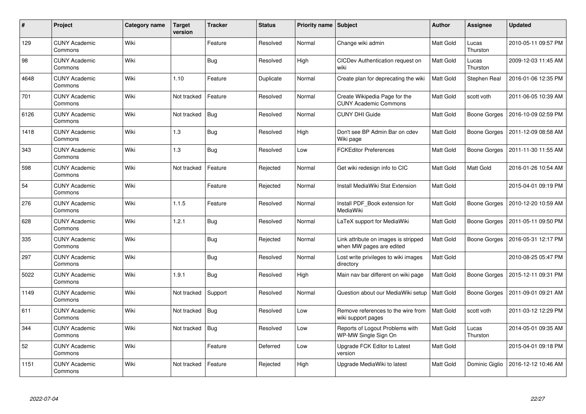| #    | Project                         | <b>Category name</b> | <b>Target</b><br>version | <b>Tracker</b> | <b>Status</b> | <b>Priority name</b> | <b>Subject</b>                                                   | Author           | Assignee            | <b>Updated</b>      |
|------|---------------------------------|----------------------|--------------------------|----------------|---------------|----------------------|------------------------------------------------------------------|------------------|---------------------|---------------------|
| 129  | <b>CUNY Academic</b><br>Commons | Wiki                 |                          | Feature        | Resolved      | Normal               | Change wiki admin                                                | <b>Matt Gold</b> | Lucas<br>Thurston   | 2010-05-11 09:57 PM |
| 98   | <b>CUNY Academic</b><br>Commons | Wiki                 |                          | <b>Bug</b>     | Resolved      | High                 | CICDev Authentication request on<br>wiki                         | Matt Gold        | Lucas<br>Thurston   | 2009-12-03 11:45 AM |
| 4648 | <b>CUNY Academic</b><br>Commons | Wiki                 | 1.10                     | Feature        | Duplicate     | Normal               | Create plan for deprecating the wiki                             | <b>Matt Gold</b> | <b>Stephen Real</b> | 2016-01-06 12:35 PM |
| 701  | <b>CUNY Academic</b><br>Commons | Wiki                 | Not tracked              | Feature        | Resolved      | Normal               | Create Wikipedia Page for the<br><b>CUNY Academic Commons</b>    | Matt Gold        | scott voth          | 2011-06-05 10:39 AM |
| 6126 | <b>CUNY Academic</b><br>Commons | Wiki                 | Not tracked              | Bug            | Resolved      | Normal               | <b>CUNY DHI Guide</b>                                            | <b>Matt Gold</b> | Boone Gorges        | 2016-10-09 02:59 PM |
| 1418 | <b>CUNY Academic</b><br>Commons | Wiki                 | 1.3                      | <b>Bug</b>     | Resolved      | High                 | Don't see BP Admin Bar on cdev<br>Wiki page                      | Matt Gold        | Boone Gorges        | 2011-12-09 08:58 AM |
| 343  | <b>CUNY Academic</b><br>Commons | Wiki                 | 1.3                      | <b>Bug</b>     | Resolved      | Low                  | <b>FCKEditor Preferences</b>                                     | Matt Gold        | <b>Boone Gorges</b> | 2011-11-30 11:55 AM |
| 598  | <b>CUNY Academic</b><br>Commons | Wiki                 | Not tracked              | Feature        | Rejected      | Normal               | Get wiki redesign info to CIC                                    | <b>Matt Gold</b> | Matt Gold           | 2016-01-26 10:54 AM |
| 54   | <b>CUNY Academic</b><br>Commons | Wiki                 |                          | Feature        | Rejected      | Normal               | Install MediaWiki Stat Extension                                 | Matt Gold        |                     | 2015-04-01 09:19 PM |
| 276  | <b>CUNY Academic</b><br>Commons | Wiki                 | 1.1.5                    | Feature        | Resolved      | Normal               | Install PDF Book extension for<br>MediaWiki                      | <b>Matt Gold</b> | Boone Gorges        | 2010-12-20 10:59 AM |
| 628  | <b>CUNY Academic</b><br>Commons | Wiki                 | 1.2.1                    | <b>Bug</b>     | Resolved      | Normal               | LaTeX support for MediaWiki                                      | Matt Gold        | Boone Gorges        | 2011-05-11 09:50 PM |
| 335  | <b>CUNY Academic</b><br>Commons | Wiki                 |                          | <b>Bug</b>     | Rejected      | Normal               | Link attribute on images is stripped<br>when MW pages are edited | Matt Gold        | Boone Gorges        | 2016-05-31 12:17 PM |
| 297  | <b>CUNY Academic</b><br>Commons | Wiki                 |                          | <b>Bug</b>     | Resolved      | Normal               | Lost write privileges to wiki images<br>directory                | <b>Matt Gold</b> |                     | 2010-08-25 05:47 PM |
| 5022 | <b>CUNY Academic</b><br>Commons | Wiki                 | 1.9.1                    | <b>Bug</b>     | Resolved      | High                 | Main nav bar different on wiki page                              | <b>Matt Gold</b> | Boone Gorges        | 2015-12-11 09:31 PM |
| 1149 | <b>CUNY Academic</b><br>Commons | Wiki                 | Not tracked              | Support        | Resolved      | Normal               | Question about our MediaWiki setup                               | <b>Matt Gold</b> | Boone Gorges        | 2011-09-01 09:21 AM |
| 611  | <b>CUNY Academic</b><br>Commons | Wiki                 | Not tracked              | <b>Bug</b>     | Resolved      | Low                  | Remove references to the wire from<br>wiki support pages         | <b>Matt Gold</b> | scott voth          | 2011-03-12 12:29 PM |
| 344  | <b>CUNY Academic</b><br>Commons | Wiki                 | Not tracked              | Bug            | Resolved      | Low                  | Reports of Logout Problems with<br>WP-MW Single Sign On          | <b>Matt Gold</b> | Lucas<br>Thurston   | 2014-05-01 09:35 AM |
| 52   | <b>CUNY Academic</b><br>Commons | Wiki                 |                          | Feature        | Deferred      | Low                  | Upgrade FCK Editor to Latest<br>version                          | <b>Matt Gold</b> |                     | 2015-04-01 09:18 PM |
| 1151 | <b>CUNY Academic</b><br>Commons | Wiki                 | Not tracked              | Feature        | Rejected      | High                 | Upgrade MediaWiki to latest                                      | Matt Gold        | Dominic Giglio      | 2016-12-12 10:46 AM |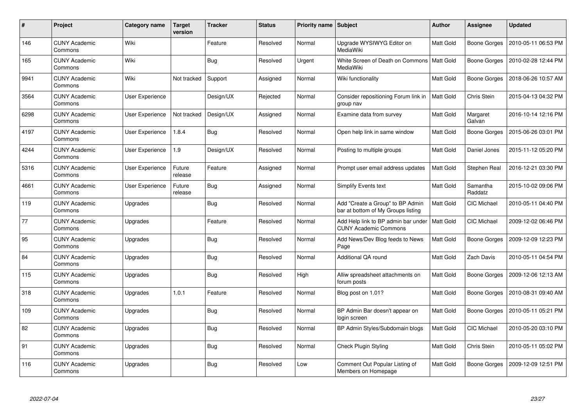| #    | Project                         | Category name          | <b>Target</b><br>version | <b>Tracker</b> | <b>Status</b> | <b>Priority name Subject</b> |                                                                        | <b>Author</b>    | <b>Assignee</b>     | <b>Updated</b>      |
|------|---------------------------------|------------------------|--------------------------|----------------|---------------|------------------------------|------------------------------------------------------------------------|------------------|---------------------|---------------------|
| 146  | <b>CUNY Academic</b><br>Commons | Wiki                   |                          | Feature        | Resolved      | Normal                       | Upgrade WYSIWYG Editor on<br>MediaWiki                                 | <b>Matt Gold</b> | Boone Gorges        | 2010-05-11 06:53 PM |
| 165  | <b>CUNY Academic</b><br>Commons | Wiki                   |                          | <b>Bug</b>     | Resolved      | Urgent                       | White Screen of Death on Commons   Matt Gold<br>MediaWiki              |                  | Boone Gorges        | 2010-02-28 12:44 PM |
| 9941 | <b>CUNY Academic</b><br>Commons | Wiki                   | Not tracked              | Support        | Assigned      | Normal                       | Wiki functionality                                                     | Matt Gold        | <b>Boone Gorges</b> | 2018-06-26 10:57 AM |
| 3564 | <b>CUNY Academic</b><br>Commons | User Experience        |                          | Design/UX      | Rejected      | Normal                       | Consider repositioning Forum link in<br>group nav                      | <b>Matt Gold</b> | Chris Stein         | 2015-04-13 04:32 PM |
| 6298 | <b>CUNY Academic</b><br>Commons | User Experience        | Not tracked              | Design/UX      | Assigned      | Normal                       | Examine data from survey                                               | Matt Gold        | Margaret<br>Galvan  | 2016-10-14 12:16 PM |
| 4197 | <b>CUNY Academic</b><br>Commons | <b>User Experience</b> | 1.8.4                    | Bug            | Resolved      | Normal                       | Open help link in same window                                          | Matt Gold        | Boone Gorges        | 2015-06-26 03:01 PM |
| 4244 | <b>CUNY Academic</b><br>Commons | <b>User Experience</b> | 1.9                      | Design/UX      | Resolved      | Normal                       | Posting to multiple groups                                             | Matt Gold        | Daniel Jones        | 2015-11-12 05:20 PM |
| 5316 | <b>CUNY Academic</b><br>Commons | <b>User Experience</b> | Future<br>release        | Feature        | Assigned      | Normal                       | Prompt user email address updates                                      | Matt Gold        | Stephen Real        | 2016-12-21 03:30 PM |
| 4661 | <b>CUNY Academic</b><br>Commons | <b>User Experience</b> | Future<br>release        | <b>Bug</b>     | Assigned      | Normal                       | <b>Simplify Events text</b>                                            | Matt Gold        | Samantha<br>Raddatz | 2015-10-02 09:06 PM |
| 119  | <b>CUNY Academic</b><br>Commons | Upgrades               |                          | <b>Bug</b>     | Resolved      | Normal                       | Add "Create a Group" to BP Admin<br>bar at bottom of My Groups listing | Matt Gold        | <b>CIC Michael</b>  | 2010-05-11 04:40 PM |
| 77   | <b>CUNY Academic</b><br>Commons | Upgrades               |                          | Feature        | Resolved      | Normal                       | Add Help link to BP admin bar under<br><b>CUNY Academic Commons</b>    | <b>Matt Gold</b> | <b>CIC Michael</b>  | 2009-12-02 06:46 PM |
| 95   | <b>CUNY Academic</b><br>Commons | Upgrades               |                          | <b>Bug</b>     | Resolved      | Normal                       | Add News/Dev Blog feeds to News<br>Page                                | Matt Gold        | Boone Gorges        | 2009-12-09 12:23 PM |
| 84   | <b>CUNY Academic</b><br>Commons | Upgrades               |                          | <b>Bug</b>     | Resolved      | Normal                       | Additional QA round                                                    | Matt Gold        | Zach Davis          | 2010-05-11 04:54 PM |
| 115  | <b>CUNY Academic</b><br>Commons | Upgrades               |                          | <b>Bug</b>     | Resolved      | High                         | Alliw spreadsheet attachments on<br>forum posts                        | Matt Gold        | Boone Gorges        | 2009-12-06 12:13 AM |
| 318  | <b>CUNY Academic</b><br>Commons | Upgrades               | 1.0.1                    | Feature        | Resolved      | Normal                       | Blog post on 1.01?                                                     | Matt Gold        | Boone Gorges        | 2010-08-31 09:40 AM |
| 109  | <b>CUNY Academic</b><br>Commons | Upgrades               |                          | <b>Bug</b>     | Resolved      | Normal                       | BP Admin Bar doesn't appear on<br>login screen                         | Matt Gold        | Boone Gorges        | 2010-05-11 05:21 PM |
| 82   | <b>CUNY Academic</b><br>Commons | Upgrades               |                          | Bug            | Resolved      | Normal                       | BP Admin Styles/Subdomain blogs                                        | Matt Gold        | <b>CIC Michael</b>  | 2010-05-20 03:10 PM |
| 91   | <b>CUNY Academic</b><br>Commons | Upgrades               |                          | <b>Bug</b>     | Resolved      | Normal                       | Check Plugin Styling                                                   | Matt Gold        | Chris Stein         | 2010-05-11 05:02 PM |
| 116  | <b>CUNY Academic</b><br>Commons | Upgrades               |                          | <b>Bug</b>     | Resolved      | Low                          | Comment Out Popular Listing of<br>Members on Homepage                  | Matt Gold        | Boone Gorges        | 2009-12-09 12:51 PM |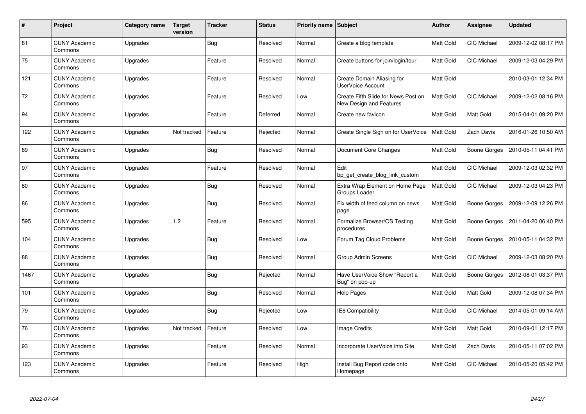| $\#$ | Project                         | Category name | <b>Target</b><br>version | <b>Tracker</b> | <b>Status</b> | <b>Priority name</b> | Subject                                                        | <b>Author</b>    | Assignee            | <b>Updated</b>      |
|------|---------------------------------|---------------|--------------------------|----------------|---------------|----------------------|----------------------------------------------------------------|------------------|---------------------|---------------------|
| 81   | <b>CUNY Academic</b><br>Commons | Upgrades      |                          | <b>Bug</b>     | Resolved      | Normal               | Create a blog template                                         | <b>Matt Gold</b> | <b>CIC Michael</b>  | 2009-12-02 08:17 PM |
| 75   | <b>CUNY Academic</b><br>Commons | Upgrades      |                          | Feature        | Resolved      | Normal               | Create buttons for join/login/tour                             | <b>Matt Gold</b> | <b>CIC Michael</b>  | 2009-12-03 04:29 PM |
| 121  | <b>CUNY Academic</b><br>Commons | Upgrades      |                          | Feature        | Resolved      | Normal               | Create Domain Aliasing for<br>UserVoice Account                | <b>Matt Gold</b> |                     | 2010-03-01 12:34 PM |
| 72   | <b>CUNY Academic</b><br>Commons | Upgrades      |                          | Feature        | Resolved      | Low                  | Create Fifth Slide for News Post on<br>New Design and Features | Matt Gold        | CIC Michael         | 2009-12-02 08:16 PM |
| 94   | <b>CUNY Academic</b><br>Commons | Upgrades      |                          | Feature        | Deferred      | Normal               | Create new favicon                                             | <b>Matt Gold</b> | Matt Gold           | 2015-04-01 09:20 PM |
| 122  | <b>CUNY Academic</b><br>Commons | Upgrades      | Not tracked              | Feature        | Rejected      | Normal               | Create Single Sign on for UserVoice                            | Matt Gold        | Zach Davis          | 2016-01-26 10:50 AM |
| 89   | <b>CUNY Academic</b><br>Commons | Upgrades      |                          | <b>Bug</b>     | Resolved      | Normal               | Document Core Changes                                          | Matt Gold        | <b>Boone Gorges</b> | 2010-05-11 04:41 PM |
| 97   | <b>CUNY Academic</b><br>Commons | Upgrades      |                          | Feature        | Resolved      | Normal               | Edit<br>bp get create blog link custom                         | Matt Gold        | CIC Michael         | 2009-12-03 02:32 PM |
| 80   | <b>CUNY Academic</b><br>Commons | Upgrades      |                          | <b>Bug</b>     | Resolved      | Normal               | Extra Wrap Element on Home Page<br>Groups Loader               | <b>Matt Gold</b> | CIC Michael         | 2009-12-03 04:23 PM |
| 86   | <b>CUNY Academic</b><br>Commons | Upgrades      |                          | <b>Bug</b>     | Resolved      | Normal               | Fix width of feed column on news<br>page                       | Matt Gold        | Boone Gorges        | 2009-12-09 12:26 PM |
| 595  | <b>CUNY Academic</b><br>Commons | Upgrades      | 1.2                      | Feature        | Resolved      | Normal               | Formalize Browser/OS Testing<br>procedures                     | Matt Gold        | Boone Gorges        | 2011-04-20 06:40 PM |
| 104  | <b>CUNY Academic</b><br>Commons | Upgrades      |                          | Bug            | Resolved      | Low                  | Forum Tag Cloud Problems                                       | <b>Matt Gold</b> | Boone Gorges        | 2010-05-11 04:32 PM |
| 88   | <b>CUNY Academic</b><br>Commons | Upgrades      |                          | Bug            | Resolved      | Normal               | Group Admin Screens                                            | <b>Matt Gold</b> | CIC Michael         | 2009-12-03 08:20 PM |
| 1467 | <b>CUNY Academic</b><br>Commons | Upgrades      |                          | Bug            | Rejected      | Normal               | Have UserVoice Show "Report a<br>Bug" on pop-up                | Matt Gold        | Boone Gorges        | 2012-08-01 03:37 PM |
| 101  | <b>CUNY Academic</b><br>Commons | Upgrades      |                          | Bug            | Resolved      | Normal               | Help Pages                                                     | Matt Gold        | Matt Gold           | 2009-12-08 07:34 PM |
| 79   | <b>CUNY Academic</b><br>Commons | Upgrades      |                          | <b>Bug</b>     | Rejected      | Low                  | <b>IE6 Compatibility</b>                                       | <b>Matt Gold</b> | CIC Michael         | 2014-05-01 09:14 AM |
| 76   | <b>CUNY Academic</b><br>Commons | Upgrades      | Not tracked              | Feature        | Resolved      | Low                  | <b>Image Credits</b>                                           | <b>Matt Gold</b> | Matt Gold           | 2010-09-01 12:17 PM |
| 93   | <b>CUNY Academic</b><br>Commons | Upgrades      |                          | Feature        | Resolved      | Normal               | Incorporate UserVoice into Site                                | Matt Gold        | Zach Davis          | 2010-05-11 07:02 PM |
| 123  | <b>CUNY Academic</b><br>Commons | Upgrades      |                          | Feature        | Resolved      | High                 | Install Bug Report code onto<br>Homepage                       | <b>Matt Gold</b> | <b>CIC Michael</b>  | 2010-05-20 05:42 PM |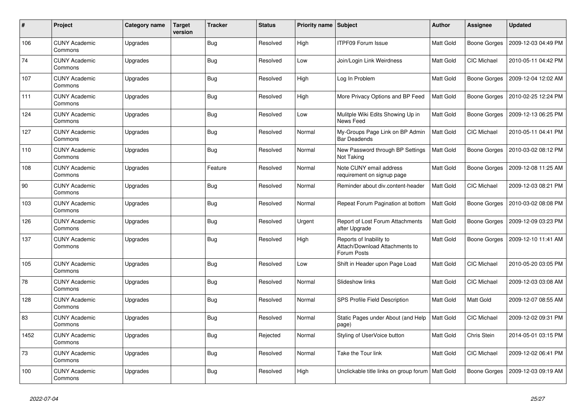| $\#$ | <b>Project</b>                  | Category name | <b>Target</b><br>version | <b>Tracker</b> | <b>Status</b> | Priority name Subject |                                                                          | Author    | Assignee            | <b>Updated</b>      |
|------|---------------------------------|---------------|--------------------------|----------------|---------------|-----------------------|--------------------------------------------------------------------------|-----------|---------------------|---------------------|
| 106  | <b>CUNY Academic</b><br>Commons | Upgrades      |                          | <b>Bug</b>     | Resolved      | High                  | <b>ITPF09 Forum Issue</b>                                                | Matt Gold | Boone Gorges        | 2009-12-03 04:49 PM |
| 74   | <b>CUNY Academic</b><br>Commons | Upgrades      |                          | <b>Bug</b>     | Resolved      | Low                   | Join/Login Link Weirdness                                                | Matt Gold | <b>CIC Michael</b>  | 2010-05-11 04:42 PM |
| 107  | <b>CUNY Academic</b><br>Commons | Upgrades      |                          | Bug            | Resolved      | High                  | Log In Problem                                                           | Matt Gold | Boone Gorges        | 2009-12-04 12:02 AM |
| 111  | <b>CUNY Academic</b><br>Commons | Upgrades      |                          | <b>Bug</b>     | Resolved      | High                  | More Privacy Options and BP Feed                                         | Matt Gold | Boone Gorges        | 2010-02-25 12:24 PM |
| 124  | <b>CUNY Academic</b><br>Commons | Upgrades      |                          | <b>Bug</b>     | Resolved      | Low                   | Mulitple Wiki Edits Showing Up in<br>News Feed                           | Matt Gold | Boone Gorges        | 2009-12-13 06:25 PM |
| 127  | <b>CUNY Academic</b><br>Commons | Upgrades      |                          | <b>Bug</b>     | Resolved      | Normal                | My-Groups Page Link on BP Admin<br><b>Bar Deadends</b>                   | Matt Gold | <b>CIC Michael</b>  | 2010-05-11 04:41 PM |
| 110  | <b>CUNY Academic</b><br>Commons | Upgrades      |                          | Bug            | Resolved      | Normal                | New Password through BP Settings<br>Not Taking                           | Matt Gold | Boone Gorges        | 2010-03-02 08:12 PM |
| 108  | <b>CUNY Academic</b><br>Commons | Upgrades      |                          | Feature        | Resolved      | Normal                | Note CUNY email address<br>requirement on signup page                    | Matt Gold | Boone Gorges        | 2009-12-08 11:25 AM |
| 90   | <b>CUNY Academic</b><br>Commons | Upgrades      |                          | Bug            | Resolved      | Normal                | Reminder about div.content-header                                        | Matt Gold | <b>CIC Michael</b>  | 2009-12-03 08:21 PM |
| 103  | <b>CUNY Academic</b><br>Commons | Upgrades      |                          | <b>Bug</b>     | Resolved      | Normal                | Repeat Forum Pagination at bottom                                        | Matt Gold | Boone Gorges        | 2010-03-02 08:08 PM |
| 126  | <b>CUNY Academic</b><br>Commons | Upgrades      |                          | <b>Bug</b>     | Resolved      | Urgent                | <b>Report of Lost Forum Attachments</b><br>after Upgrade                 | Matt Gold | Boone Gorges        | 2009-12-09 03:23 PM |
| 137  | <b>CUNY Academic</b><br>Commons | Upgrades      |                          | Bug            | Resolved      | High                  | Reports of Inability to<br>Attach/Download Attachments to<br>Forum Posts | Matt Gold | <b>Boone Gorges</b> | 2009-12-10 11:41 AM |
| 105  | <b>CUNY Academic</b><br>Commons | Upgrades      |                          | Bug            | Resolved      | Low                   | Shift in Header upon Page Load                                           | Matt Gold | CIC Michael         | 2010-05-20 03:05 PM |
| 78   | <b>CUNY Academic</b><br>Commons | Upgrades      |                          | Bug            | Resolved      | Normal                | Slideshow links                                                          | Matt Gold | <b>CIC Michael</b>  | 2009-12-03 03:08 AM |
| 128  | <b>CUNY Academic</b><br>Commons | Upgrades      |                          | <b>Bug</b>     | Resolved      | Normal                | SPS Profile Field Description                                            | Matt Gold | <b>Matt Gold</b>    | 2009-12-07 08:55 AM |
| 83   | <b>CUNY Academic</b><br>Commons | Upgrades      |                          | <b>Bug</b>     | Resolved      | Normal                | Static Pages under About (and Help<br>page)                              | Matt Gold | <b>CIC Michael</b>  | 2009-12-02 09:31 PM |
| 1452 | <b>CUNY Academic</b><br>Commons | Upgrades      |                          | Bug            | Rejected      | Normal                | Styling of UserVoice button                                              | Matt Gold | Chris Stein         | 2014-05-01 03:15 PM |
| 73   | <b>CUNY Academic</b><br>Commons | Upgrades      |                          | <b>Bug</b>     | Resolved      | Normal                | Take the Tour link                                                       | Matt Gold | CIC Michael         | 2009-12-02 06:41 PM |
| 100  | <b>CUNY Academic</b><br>Commons | Upgrades      |                          | <b>Bug</b>     | Resolved      | High                  | Unclickable title links on group forum   Matt Gold                       |           | Boone Gorges        | 2009-12-03 09:19 AM |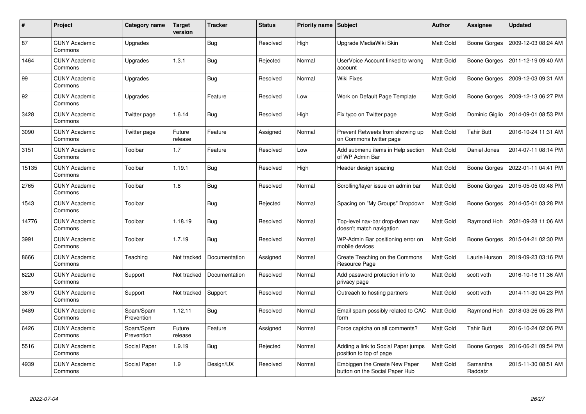| #     | Project                         | Category name           | <b>Target</b><br>version | <b>Tracker</b> | <b>Status</b> | Priority name   Subject |                                                                 | <b>Author</b>    | <b>Assignee</b>     | <b>Updated</b>      |
|-------|---------------------------------|-------------------------|--------------------------|----------------|---------------|-------------------------|-----------------------------------------------------------------|------------------|---------------------|---------------------|
| 87    | <b>CUNY Academic</b><br>Commons | Upgrades                |                          | <b>Bug</b>     | Resolved      | High                    | Upgrade MediaWiki Skin                                          | <b>Matt Gold</b> | <b>Boone Gorges</b> | 2009-12-03 08:24 AM |
| 1464  | <b>CUNY Academic</b><br>Commons | Upgrades                | 1.3.1                    | <b>Bug</b>     | Rejected      | Normal                  | UserVoice Account linked to wrong<br>account                    | Matt Gold        | Boone Gorges        | 2011-12-19 09:40 AM |
| 99    | <b>CUNY Academic</b><br>Commons | Upgrades                |                          | <b>Bug</b>     | Resolved      | Normal                  | Wiki Fixes                                                      | Matt Gold        | <b>Boone Gorges</b> | 2009-12-03 09:31 AM |
| 92    | <b>CUNY Academic</b><br>Commons | Upgrades                |                          | Feature        | Resolved      | Low                     | Work on Default Page Template                                   | Matt Gold        | Boone Gorges        | 2009-12-13 06:27 PM |
| 3428  | <b>CUNY Academic</b><br>Commons | Twitter page            | 1.6.14                   | <b>Bug</b>     | Resolved      | High                    | Fix typo on Twitter page                                        | Matt Gold        | Dominic Giglio      | 2014-09-01 08:53 PM |
| 3090  | <b>CUNY Academic</b><br>Commons | Twitter page            | Future<br>release        | Feature        | Assigned      | Normal                  | Prevent Retweets from showing up<br>on Commons twitter page     | Matt Gold        | <b>Tahir Butt</b>   | 2016-10-24 11:31 AM |
| 3151  | <b>CUNY Academic</b><br>Commons | Toolbar                 | 1.7                      | Feature        | Resolved      | Low                     | Add submenu items in Help section<br>of WP Admin Bar            | Matt Gold        | Daniel Jones        | 2014-07-11 08:14 PM |
| 15135 | <b>CUNY Academic</b><br>Commons | Toolbar                 | 1.19.1                   | <b>Bug</b>     | Resolved      | High                    | Header design spacing                                           | Matt Gold        | Boone Gorges        | 2022-01-11 04:41 PM |
| 2765  | <b>CUNY Academic</b><br>Commons | Toolbar                 | 1.8                      | <b>Bug</b>     | Resolved      | Normal                  | Scrolling/layer issue on admin bar                              | Matt Gold        | Boone Gorges        | 2015-05-05 03:48 PM |
| 1543  | <b>CUNY Academic</b><br>Commons | Toolbar                 |                          | <b>Bug</b>     | Rejected      | Normal                  | Spacing on "My Groups" Dropdown                                 | Matt Gold        | Boone Gorges        | 2014-05-01 03:28 PM |
| 14776 | <b>CUNY Academic</b><br>Commons | Toolbar                 | 1.18.19                  | Bug            | Resolved      | Normal                  | Top-level nav-bar drop-down nav<br>doesn't match navigation     | Matt Gold        | Raymond Hoh         | 2021-09-28 11:06 AM |
| 3991  | <b>CUNY Academic</b><br>Commons | Toolbar                 | 1.7.19                   | Bug            | Resolved      | Normal                  | WP-Admin Bar positioning error on<br>mobile devices             | Matt Gold        | Boone Gorges        | 2015-04-21 02:30 PM |
| 8666  | <b>CUNY Academic</b><br>Commons | Teaching                | Not tracked              | Documentation  | Assigned      | Normal                  | Create Teaching on the Commons<br>Resource Page                 | Matt Gold        | Laurie Hurson       | 2019-09-23 03:16 PM |
| 6220  | <b>CUNY Academic</b><br>Commons | Support                 | Not tracked              | Documentation  | Resolved      | Normal                  | Add password protection info to<br>privacy page                 | Matt Gold        | scott voth          | 2016-10-16 11:36 AM |
| 3679  | <b>CUNY Academic</b><br>Commons | Support                 | Not tracked              | Support        | Resolved      | Normal                  | Outreach to hosting partners                                    | Matt Gold        | scott voth          | 2014-11-30 04:23 PM |
| 9489  | <b>CUNY Academic</b><br>Commons | Spam/Spam<br>Prevention | 1.12.11                  | <b>Bug</b>     | Resolved      | Normal                  | Email spam possibly related to CAC<br>form                      | Matt Gold        | Raymond Hoh         | 2018-03-26 05:28 PM |
| 6426  | <b>CUNY Academic</b><br>Commons | Spam/Spam<br>Prevention | Future<br>release        | Feature        | Assigned      | Normal                  | Force captcha on all comments?                                  | Matt Gold        | Tahir Butt          | 2016-10-24 02:06 PM |
| 5516  | <b>CUNY Academic</b><br>Commons | Social Paper            | 1.9.19                   | Bug            | Rejected      | Normal                  | Adding a link to Social Paper jumps<br>position to top of page  | Matt Gold        | Boone Gorges        | 2016-06-21 09:54 PM |
| 4939  | <b>CUNY Academic</b><br>Commons | Social Paper            | 1.9                      | Design/UX      | Resolved      | Normal                  | Embiggen the Create New Paper<br>button on the Social Paper Hub | Matt Gold        | Samantha<br>Raddatz | 2015-11-30 08:51 AM |